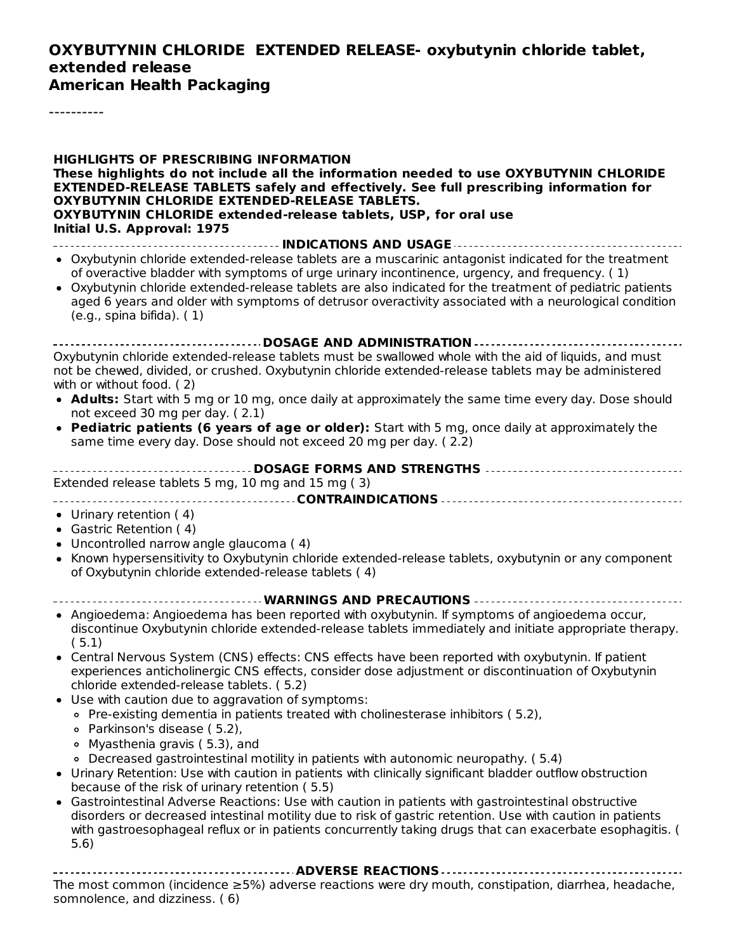## **OXYBUTYNIN CHLORIDE EXTENDED RELEASE- oxybutynin chloride tablet, extended release**

**American Health Packaging**

----------

5.6)

| <b>HIGHLIGHTS OF PRESCRIBING INFORMATION</b><br>These highlights do not include all the information needed to use OXYBUTYNIN CHLORIDE<br><b>EXTENDED-RELEASE TABLETS safely and effectively. See full prescribing information for</b><br>OXYBUTYNIN CHLORIDE EXTENDED-RELEASE TABLETS.<br>OXYBUTYNIN CHLORIDE extended-release tablets, USP, for oral use<br>Initial U.S. Approval: 1975                                                                        |
|-----------------------------------------------------------------------------------------------------------------------------------------------------------------------------------------------------------------------------------------------------------------------------------------------------------------------------------------------------------------------------------------------------------------------------------------------------------------|
| INDICATIONS AND USAGE                                                                                                                                                                                                                                                                                                                                                                                                                                           |
| • Oxybutynin chloride extended-release tablets are a muscarinic antagonist indicated for the treatment<br>of overactive bladder with symptoms of urge urinary incontinence, urgency, and frequency. (1)<br>• Oxybutynin chloride extended-release tablets are also indicated for the treatment of pediatric patients<br>aged 6 years and older with symptoms of detrusor overactivity associated with a neurological condition<br>$(e.g., spina bifida).$ $(1)$ |
| - DOSAGE AND ADMINISTRATION -                                                                                                                                                                                                                                                                                                                                                                                                                                   |
| Oxybutynin chloride extended-release tablets must be swallowed whole with the aid of liquids, and must<br>not be chewed, divided, or crushed. Oxybutynin chloride extended-release tablets may be administered<br>with or without food. (2)                                                                                                                                                                                                                     |
| • Adults: Start with 5 mg or 10 mg, once daily at approximately the same time every day. Dose should<br>not exceed 30 mg per day. (2.1)                                                                                                                                                                                                                                                                                                                         |
| • Pediatric patients (6 years of age or older): Start with 5 mg, once daily at approximately the<br>same time every day. Dose should not exceed 20 mg per day. (2.2)                                                                                                                                                                                                                                                                                            |
|                                                                                                                                                                                                                                                                                                                                                                                                                                                                 |
| Extended release tablets 5 mg, 10 mg and 15 mg (3)                                                                                                                                                                                                                                                                                                                                                                                                              |
|                                                                                                                                                                                                                                                                                                                                                                                                                                                                 |
| • Urinary retention (4)<br>• Gastric Retention (4)<br>Uncontrolled narrow angle glaucoma (4)<br>Known hypersensitivity to Oxybutynin chloride extended-release tablets, oxybutynin or any component<br>٠<br>of Oxybutynin chloride extended-release tablets (4)                                                                                                                                                                                                 |
| WARNINGS AND PRECAUTIONS                                                                                                                                                                                                                                                                                                                                                                                                                                        |
| • Angioedema: Angioedema has been reported with oxybutynin. If symptoms of angioedema occur,<br>discontinue Oxybutynin chloride extended-release tablets immediately and initiate appropriate therapy.<br>(5.1)                                                                                                                                                                                                                                                 |
| • Central Nervous System (CNS) effects: CNS effects have been reported with oxybutynin. If patient<br>experiences anticholinergic CNS effects, consider dose adjustment or discontinuation of Oxybutynin<br>chloride extended-release tablets. (5.2)<br>• Use with caution due to aggravation of symptoms:                                                                                                                                                      |
| ○ Pre-existing dementia in patients treated with cholinesterase inhibitors (5.2),<br>○ Parkinson's disease (5.2),<br>Myasthenia gravis (5.3), and<br>۰                                                                                                                                                                                                                                                                                                          |
| • Decreased gastrointestinal motility in patients with autonomic neuropathy. (5.4)<br>• Urinary Retention: Use with caution in patients with clinically significant bladder outflow obstruction<br>because of the risk of urinary retention (5.5)                                                                                                                                                                                                               |
| • Gastrointestinal Adverse Reactions: Use with caution in patients with gastrointestinal obstructive<br>disorders or decreased intestinal motility due to risk of gastric retention. Use with caution in patients<br>with gastroesophageal reflux or in patients concurrently taking drugs that can exacerbate esophagitis. (                                                                                                                                   |

**ADVERSE REACTIONS** The most common (incidence ≥5%) adverse reactions were dry mouth, constipation, diarrhea, headache, somnolence, and dizziness. ( 6)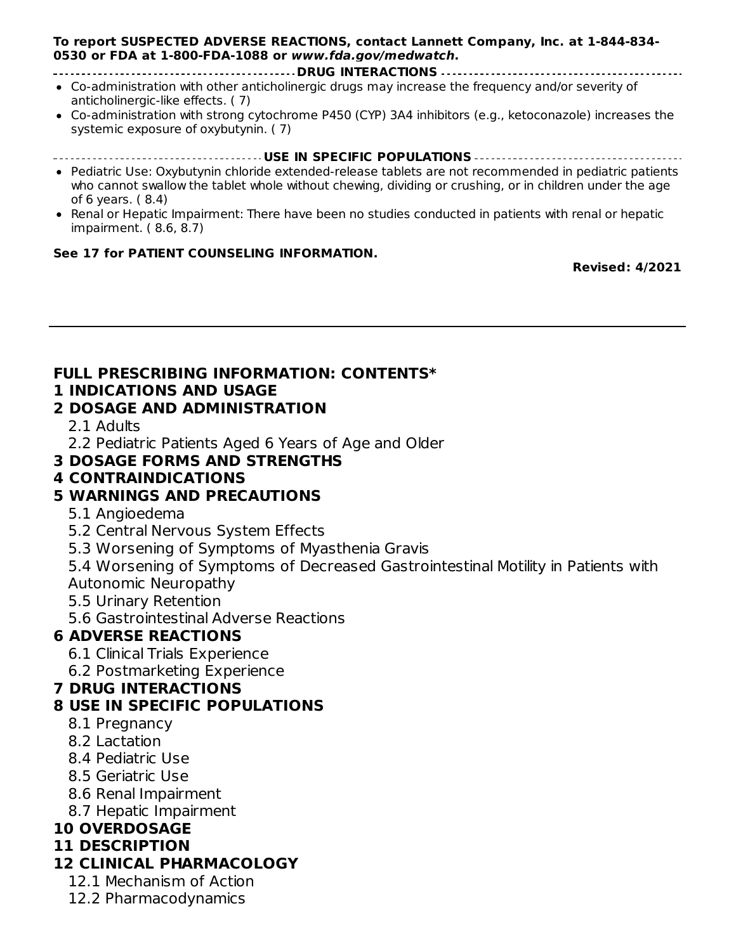#### somnolence, and dizziness. ( 6) **To report SUSPECTED ADVERSE REACTIONS, contact Lannett Company, Inc. at 1-844-834- 0530 or FDA at 1-800-FDA-1088 or www.fda.gov/medwatch.**

#### **DRUG INTERACTIONS**

- Co-administration with other anticholinergic drugs may increase the frequency and/or severity of anticholinergic-like effects. ( 7)
- Co-administration with strong cytochrome P450 (CYP) 3A4 inhibitors (e.g., ketoconazole) increases the systemic exposure of oxybutynin. ( 7)

#### **USE IN SPECIFIC POPULATIONS**

- Pediatric Use: Oxybutynin chloride extended-release tablets are not recommended in pediatric patients who cannot swallow the tablet whole without chewing, dividing or crushing, or in children under the age of 6 years. ( 8.4)
- Renal or Hepatic Impairment: There have been no studies conducted in patients with renal or hepatic impairment. ( 8.6, 8.7)

#### **See 17 for PATIENT COUNSELING INFORMATION.**

**Revised: 4/2021**

#### **FULL PRESCRIBING INFORMATION: CONTENTS\***

#### **1 INDICATIONS AND USAGE**

#### **2 DOSAGE AND ADMINISTRATION**

2.1 Adults

2.2 Pediatric Patients Aged 6 Years of Age and Older

#### **3 DOSAGE FORMS AND STRENGTHS**

#### **4 CONTRAINDICATIONS**

#### **5 WARNINGS AND PRECAUTIONS**

- 5.1 Angioedema
- 5.2 Central Nervous System Effects
- 5.3 Worsening of Symptoms of Myasthenia Gravis
- 5.4 Worsening of Symptoms of Decreased Gastrointestinal Motility in Patients with Autonomic Neuropathy
- 5.5 Urinary Retention
- 5.6 Gastrointestinal Adverse Reactions

### **6 ADVERSE REACTIONS**

- 6.1 Clinical Trials Experience
- 6.2 Postmarketing Experience

#### **7 DRUG INTERACTIONS**

#### **8 USE IN SPECIFIC POPULATIONS**

- 8.1 Pregnancy
- 8.2 Lactation
- 8.4 Pediatric Use
- 8.5 Geriatric Use
- 8.6 Renal Impairment
- 8.7 Hepatic Impairment

#### **10 OVERDOSAGE**

#### **11 DESCRIPTION**

### **12 CLINICAL PHARMACOLOGY**

- 12.1 Mechanism of Action
- 12.2 Pharmacodynamics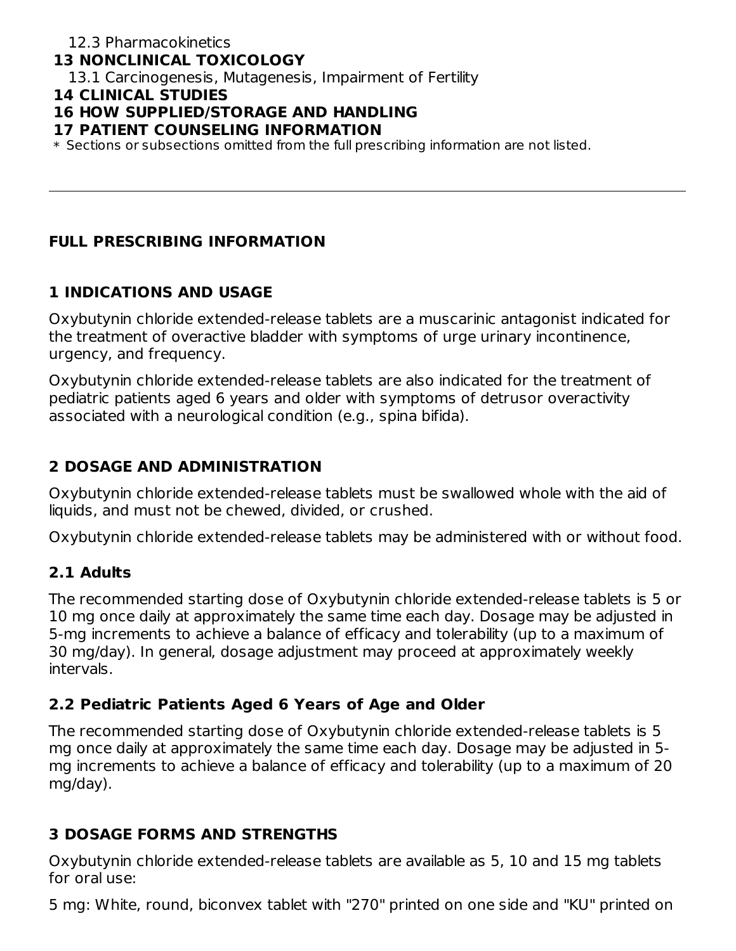## **13 NONCLINICAL TOXICOLOGY**

13.1 Carcinogenesis, Mutagenesis, Impairment of Fertility

#### **14 CLINICAL STUDIES**

## **16 HOW SUPPLIED/STORAGE AND HANDLING**

#### **17 PATIENT COUNSELING INFORMATION**

 $\ast$  Sections or subsections omitted from the full prescribing information are not listed.

## **FULL PRESCRIBING INFORMATION**

## **1 INDICATIONS AND USAGE**

Oxybutynin chloride extended-release tablets are a muscarinic antagonist indicated for the treatment of overactive bladder with symptoms of urge urinary incontinence, urgency, and frequency.

Oxybutynin chloride extended-release tablets are also indicated for the treatment of pediatric patients aged 6 years and older with symptoms of detrusor overactivity associated with a neurological condition (e.g., spina bifida).

## **2 DOSAGE AND ADMINISTRATION**

Oxybutynin chloride extended-release tablets must be swallowed whole with the aid of liquids, and must not be chewed, divided, or crushed.

Oxybutynin chloride extended-release tablets may be administered with or without food.

## **2.1 Adults**

The recommended starting dose of Oxybutynin chloride extended-release tablets is 5 or 10 mg once daily at approximately the same time each day. Dosage may be adjusted in 5-mg increments to achieve a balance of efficacy and tolerability (up to a maximum of 30 mg/day). In general, dosage adjustment may proceed at approximately weekly intervals.

## **2.2 Pediatric Patients Aged 6 Years of Age and Older**

The recommended starting dose of Oxybutynin chloride extended-release tablets is 5 mg once daily at approximately the same time each day. Dosage may be adjusted in 5 mg increments to achieve a balance of efficacy and tolerability (up to a maximum of 20 mg/day).

## **3 DOSAGE FORMS AND STRENGTHS**

Oxybutynin chloride extended-release tablets are available as 5, 10 and 15 mg tablets for oral use:

5 mg: White, round, biconvex tablet with "270" printed on one side and "KU" printed on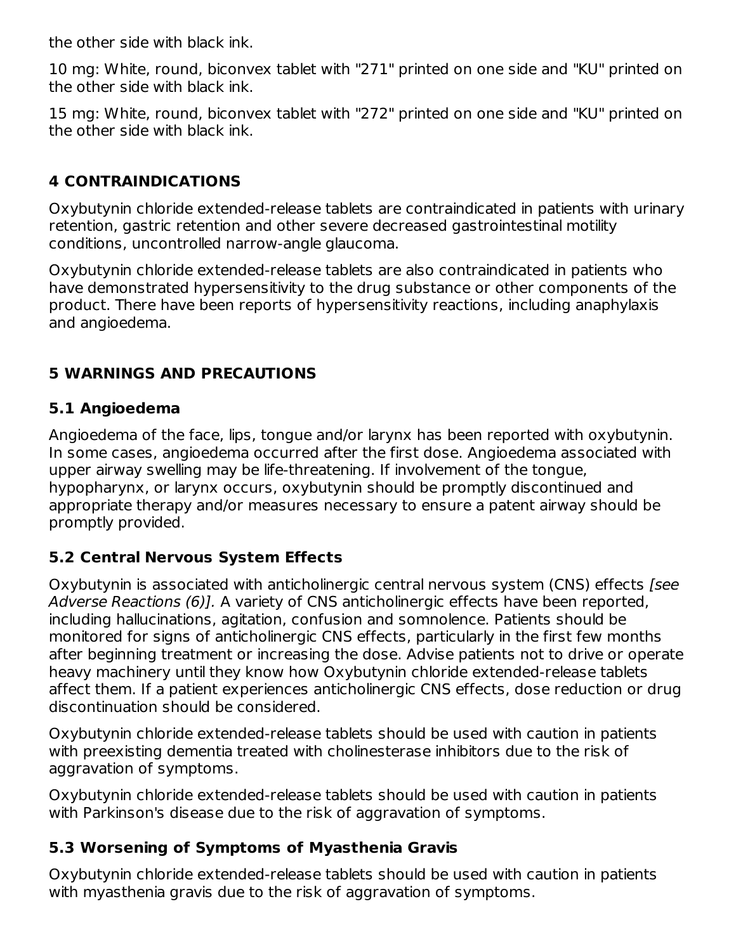the other side with black ink.

10 mg: White, round, biconvex tablet with "271" printed on one side and "KU" printed on the other side with black ink.

15 mg: White, round, biconvex tablet with "272" printed on one side and "KU" printed on the other side with black ink.

## **4 CONTRAINDICATIONS**

Oxybutynin chloride extended-release tablets are contraindicated in patients with urinary retention, gastric retention and other severe decreased gastrointestinal motility conditions, uncontrolled narrow-angle glaucoma.

Oxybutynin chloride extended-release tablets are also contraindicated in patients who have demonstrated hypersensitivity to the drug substance or other components of the product. There have been reports of hypersensitivity reactions, including anaphylaxis and angioedema.

## **5 WARNINGS AND PRECAUTIONS**

## **5.1 Angioedema**

Angioedema of the face, lips, tongue and/or larynx has been reported with oxybutynin. In some cases, angioedema occurred after the first dose. Angioedema associated with upper airway swelling may be life-threatening. If involvement of the tongue, hypopharynx, or larynx occurs, oxybutynin should be promptly discontinued and appropriate therapy and/or measures necessary to ensure a patent airway should be promptly provided.

## **5.2 Central Nervous System Effects**

Oxybutynin is associated with anticholinergic central nervous system (CNS) effects [see Adverse Reactions (6)]. A variety of CNS anticholinergic effects have been reported, including hallucinations, agitation, confusion and somnolence. Patients should be monitored for signs of anticholinergic CNS effects, particularly in the first few months after beginning treatment or increasing the dose. Advise patients not to drive or operate heavy machinery until they know how Oxybutynin chloride extended-release tablets affect them. If a patient experiences anticholinergic CNS effects, dose reduction or drug discontinuation should be considered.

Oxybutynin chloride extended-release tablets should be used with caution in patients with preexisting dementia treated with cholinesterase inhibitors due to the risk of aggravation of symptoms.

Oxybutynin chloride extended-release tablets should be used with caution in patients with Parkinson's disease due to the risk of aggravation of symptoms.

## **5.3 Worsening of Symptoms of Myasthenia Gravis**

Oxybutynin chloride extended-release tablets should be used with caution in patients with myasthenia gravis due to the risk of aggravation of symptoms.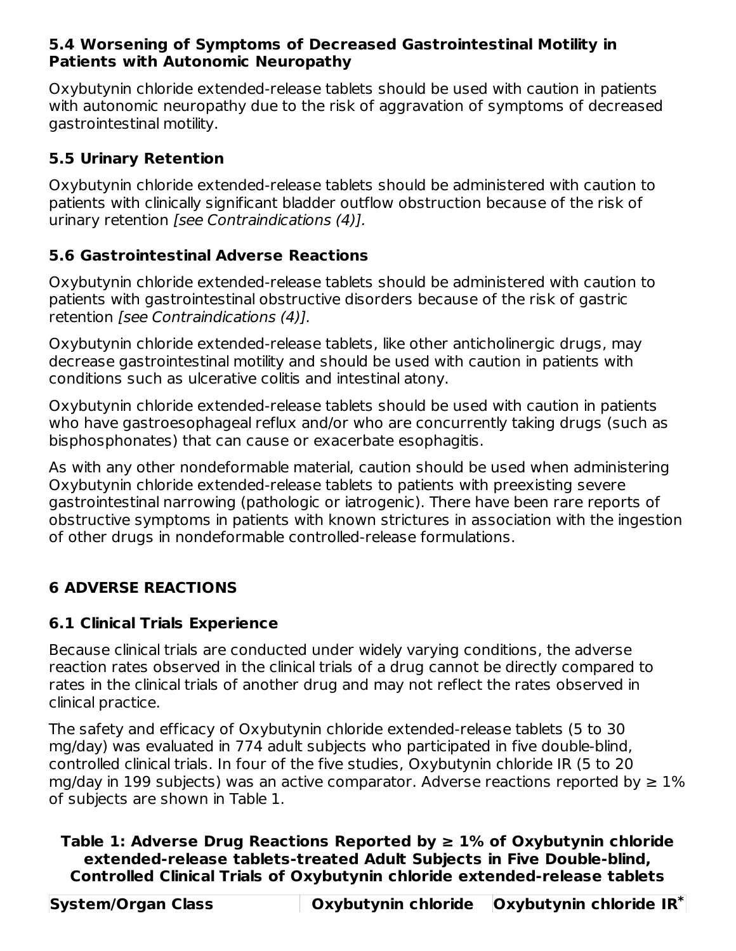## **5.4 Worsening of Symptoms of Decreased Gastrointestinal Motility in Patients with Autonomic Neuropathy**

Oxybutynin chloride extended-release tablets should be used with caution in patients with autonomic neuropathy due to the risk of aggravation of symptoms of decreased gastrointestinal motility.

## **5.5 Urinary Retention**

Oxybutynin chloride extended-release tablets should be administered with caution to patients with clinically significant bladder outflow obstruction because of the risk of urinary retention [see Contraindications (4)].

## **5.6 Gastrointestinal Adverse Reactions**

Oxybutynin chloride extended-release tablets should be administered with caution to patients with gastrointestinal obstructive disorders because of the risk of gastric retention [see Contraindications (4)].

Oxybutynin chloride extended-release tablets, like other anticholinergic drugs, may decrease gastrointestinal motility and should be used with caution in patients with conditions such as ulcerative colitis and intestinal atony.

Oxybutynin chloride extended-release tablets should be used with caution in patients who have gastroesophageal reflux and/or who are concurrently taking drugs (such as bisphosphonates) that can cause or exacerbate esophagitis.

As with any other nondeformable material, caution should be used when administering Oxybutynin chloride extended-release tablets to patients with preexisting severe gastrointestinal narrowing (pathologic or iatrogenic). There have been rare reports of obstructive symptoms in patients with known strictures in association with the ingestion of other drugs in nondeformable controlled-release formulations.

## **6 ADVERSE REACTIONS**

## **6.1 Clinical Trials Experience**

Because clinical trials are conducted under widely varying conditions, the adverse reaction rates observed in the clinical trials of a drug cannot be directly compared to rates in the clinical trials of another drug and may not reflect the rates observed in clinical practice.

The safety and efficacy of Oxybutynin chloride extended-release tablets (5 to 30 mg/day) was evaluated in 774 adult subjects who participated in five double-blind, controlled clinical trials. In four of the five studies, Oxybutynin chloride IR (5 to 20 mg/day in 199 subjects) was an active comparator. Adverse reactions reported by  $\geq 1\%$ of subjects are shown in Table 1.

## **Table 1: Adverse Drug Reactions Reported by ≥ 1% of Oxybutynin chloride extended-release tablets-treated Adult Subjects in Five Double-blind, Controlled Clinical Trials of Oxybutynin chloride extended-release tablets**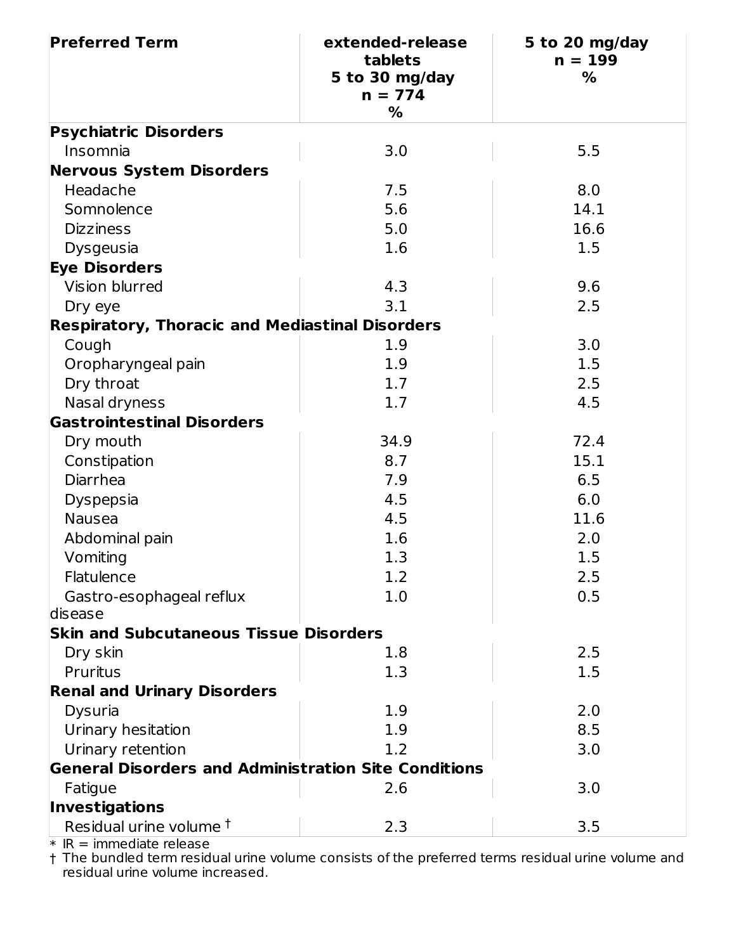| <b>Preferred Term</b>                                       | extended-release<br>tablets<br>5 to 30 mg/day<br>$n = 774$<br>% | 5 to 20 mg/day<br>$n = 199$<br>% |
|-------------------------------------------------------------|-----------------------------------------------------------------|----------------------------------|
| <b>Psychiatric Disorders</b>                                |                                                                 |                                  |
| Insomnia                                                    | 3.0                                                             | 5.5                              |
| <b>Nervous System Disorders</b>                             |                                                                 |                                  |
| Headache                                                    | 7.5                                                             | 8.0                              |
| Somnolence                                                  | 5.6                                                             | 14.1                             |
| <b>Dizziness</b>                                            | 5.0                                                             | 16.6                             |
| Dysgeusia                                                   | 1.6                                                             | 1.5                              |
| <b>Eye Disorders</b>                                        |                                                                 |                                  |
| Vision blurred                                              | 4.3                                                             | 9.6                              |
| Dry eye                                                     | 3.1                                                             | 2.5                              |
| <b>Respiratory, Thoracic and Mediastinal Disorders</b>      |                                                                 |                                  |
| Cough                                                       | 1.9                                                             | 3.0                              |
| Oropharyngeal pain                                          | 1.9                                                             | 1.5                              |
| Dry throat                                                  | 1.7                                                             | 2.5                              |
| Nasal dryness                                               | 1.7                                                             | 4.5                              |
| <b>Gastrointestinal Disorders</b>                           |                                                                 |                                  |
| Dry mouth                                                   | 34.9                                                            | 72.4                             |
| Constipation                                                | 8.7                                                             | 15.1                             |
| Diarrhea                                                    | 7.9                                                             | 6.5                              |
| <b>Dyspepsia</b>                                            | 4.5                                                             | 6.0                              |
| <b>Nausea</b>                                               | 4.5                                                             | 11.6                             |
| Abdominal pain                                              | 1.6                                                             | 2.0                              |
| Vomiting                                                    | 1.3                                                             | 1.5                              |
| Flatulence                                                  | 1.2                                                             | 2.5                              |
| Gastro-esophageal reflux                                    | 1.0                                                             | 0.5                              |
| disease                                                     |                                                                 |                                  |
| <b>Skin and Subcutaneous Tissue Disorders</b>               |                                                                 |                                  |
| Dry skin                                                    | 1.8                                                             | 2.5                              |
| Pruritus                                                    | 1.3                                                             | 1.5                              |
| <b>Renal and Urinary Disorders</b>                          |                                                                 |                                  |
| Dysuria                                                     | 1.9                                                             | 2.0                              |
| Urinary hesitation                                          | 1.9                                                             | 8.5                              |
| Urinary retention                                           | 1.2                                                             | 3.0                              |
| <b>General Disorders and Administration Site Conditions</b> |                                                                 |                                  |
| Fatigue                                                     | 2.6                                                             | 3.0                              |
| <b>Investigations</b>                                       |                                                                 |                                  |
| Residual urine volume <sup>†</sup>                          | 2.3                                                             | 3.5                              |

\*  $IR =$  immediate release

† The bundled term residual urine volume consists of the preferred terms residual urine volume and residual urine volume increased.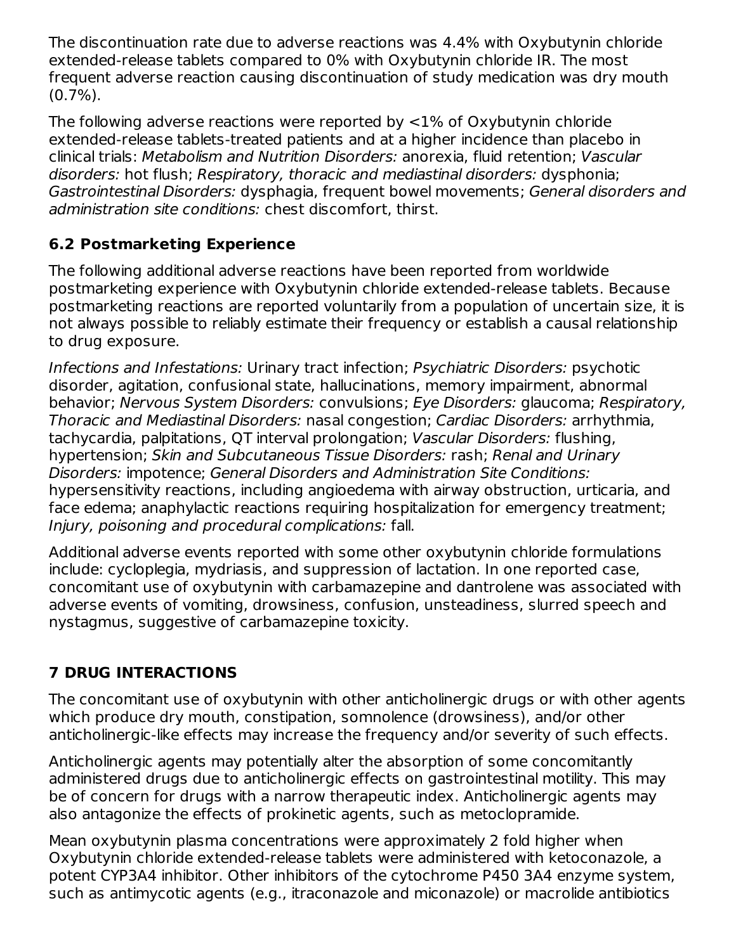The discontinuation rate due to adverse reactions was 4.4% with Oxybutynin chloride extended-release tablets compared to 0% with Oxybutynin chloride IR. The most frequent adverse reaction causing discontinuation of study medication was dry mouth  $(0.7\%)$ .

The following adverse reactions were reported by <1% of Oxybutynin chloride extended-release tablets-treated patients and at a higher incidence than placebo in clinical trials: Metabolism and Nutrition Disorders: anorexia, fluid retention; Vascular disorders: hot flush; Respiratory, thoracic and mediastinal disorders: dysphonia; Gastrointestinal Disorders: dysphagia, frequent bowel movements; General disorders and administration site conditions: chest discomfort, thirst.

## **6.2 Postmarketing Experience**

The following additional adverse reactions have been reported from worldwide postmarketing experience with Oxybutynin chloride extended-release tablets. Because postmarketing reactions are reported voluntarily from a population of uncertain size, it is not always possible to reliably estimate their frequency or establish a causal relationship to drug exposure.

Infections and Infestations: Urinary tract infection; Psychiatric Disorders: psychotic disorder, agitation, confusional state, hallucinations, memory impairment, abnormal behavior; Nervous System Disorders: convulsions; Eye Disorders: glaucoma; Respiratory, Thoracic and Mediastinal Disorders: nasal congestion; Cardiac Disorders: arrhythmia, tachycardia, palpitations, QT interval prolongation; Vascular Disorders: flushing, hypertension; Skin and Subcutaneous Tissue Disorders: rash; Renal and Urinary Disorders: impotence; General Disorders and Administration Site Conditions: hypersensitivity reactions, including angioedema with airway obstruction, urticaria, and face edema; anaphylactic reactions requiring hospitalization for emergency treatment; Injury, poisoning and procedural complications: fall.

Additional adverse events reported with some other oxybutynin chloride formulations include: cycloplegia, mydriasis, and suppression of lactation. In one reported case, concomitant use of oxybutynin with carbamazepine and dantrolene was associated with adverse events of vomiting, drowsiness, confusion, unsteadiness, slurred speech and nystagmus, suggestive of carbamazepine toxicity.

## **7 DRUG INTERACTIONS**

The concomitant use of oxybutynin with other anticholinergic drugs or with other agents which produce dry mouth, constipation, somnolence (drowsiness), and/or other anticholinergic-like effects may increase the frequency and/or severity of such effects.

Anticholinergic agents may potentially alter the absorption of some concomitantly administered drugs due to anticholinergic effects on gastrointestinal motility. This may be of concern for drugs with a narrow therapeutic index. Anticholinergic agents may also antagonize the effects of prokinetic agents, such as metoclopramide.

Mean oxybutynin plasma concentrations were approximately 2 fold higher when Oxybutynin chloride extended-release tablets were administered with ketoconazole, a potent CYP3A4 inhibitor. Other inhibitors of the cytochrome P450 3A4 enzyme system, such as antimycotic agents (e.g., itraconazole and miconazole) or macrolide antibiotics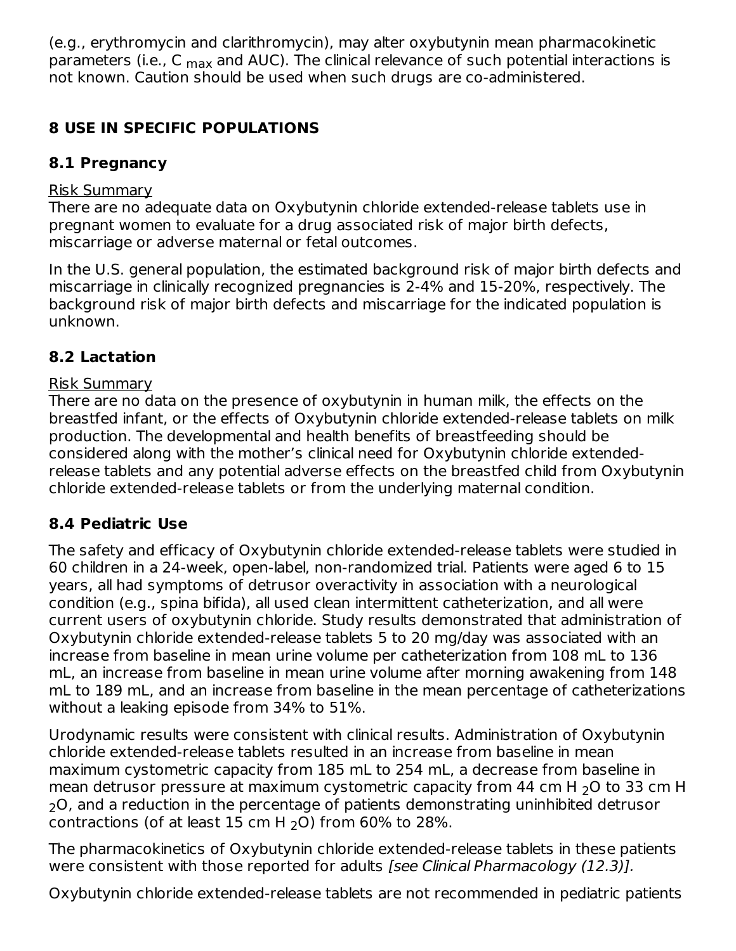(e.g., erythromycin and clarithromycin), may alter oxybutynin mean pharmacokinetic parameters (i.e., C <sub>max</sub> and AUC). The clinical relevance of such potential interactions is not known. Caution should be used when such drugs are co-administered.

## **8 USE IN SPECIFIC POPULATIONS**

## **8.1 Pregnancy**

## Risk Summary

There are no adequate data on Oxybutynin chloride extended-release tablets use in pregnant women to evaluate for a drug associated risk of major birth defects, miscarriage or adverse maternal or fetal outcomes.

In the U.S. general population, the estimated background risk of major birth defects and miscarriage in clinically recognized pregnancies is 2-4% and 15-20%, respectively. The background risk of major birth defects and miscarriage for the indicated population is unknown.

## **8.2 Lactation**

## Risk Summary

There are no data on the presence of oxybutynin in human milk, the effects on the breastfed infant, or the effects of Oxybutynin chloride extended-release tablets on milk production. The developmental and health benefits of breastfeeding should be considered along with the mother's clinical need for Oxybutynin chloride extendedrelease tablets and any potential adverse effects on the breastfed child from Oxybutynin chloride extended-release tablets or from the underlying maternal condition.

## **8.4 Pediatric Use**

The safety and efficacy of Oxybutynin chloride extended-release tablets were studied in 60 children in a 24-week, open-label, non-randomized trial. Patients were aged 6 to 15 years, all had symptoms of detrusor overactivity in association with a neurological condition (e.g., spina bifida), all used clean intermittent catheterization, and all were current users of oxybutynin chloride. Study results demonstrated that administration of Oxybutynin chloride extended-release tablets 5 to 20 mg/day was associated with an increase from baseline in mean urine volume per catheterization from 108 mL to 136 mL, an increase from baseline in mean urine volume after morning awakening from 148 mL to 189 mL, and an increase from baseline in the mean percentage of catheterizations without a leaking episode from 34% to 51%.

Urodynamic results were consistent with clinical results. Administration of Oxybutynin chloride extended-release tablets resulted in an increase from baseline in mean maximum cystometric capacity from 185 mL to 254 mL, a decrease from baseline in mean detrusor pressure at maximum cystometric capacity from 44 cm H  $_{2}$ O to 33 cm H  $_{\rm 2}$ O, and a reduction in the percentage of patients demonstrating uninhibited detrusor contractions (of at least  $15$  cm H  $_2$ O) from 60% to 28%.

The pharmacokinetics of Oxybutynin chloride extended-release tablets in these patients were consistent with those reported for adults [see Clinical Pharmacology (12.3)].

Oxybutynin chloride extended-release tablets are not recommended in pediatric patients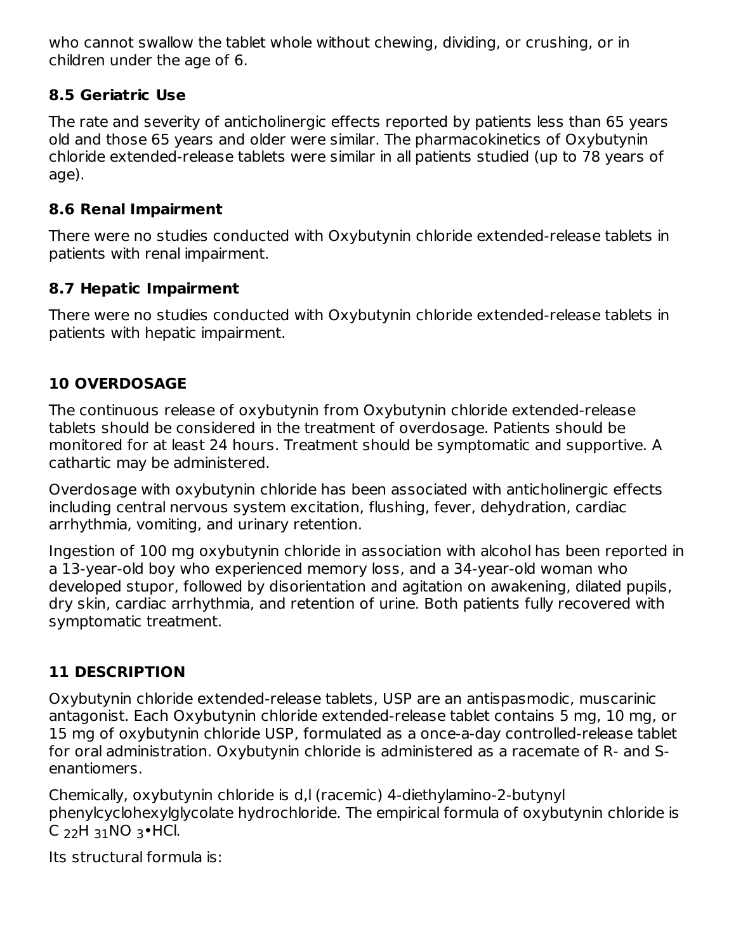who cannot swallow the tablet whole without chewing, dividing, or crushing, or in children under the age of 6.

## **8.5 Geriatric Use**

The rate and severity of anticholinergic effects reported by patients less than 65 years old and those 65 years and older were similar. The pharmacokinetics of Oxybutynin chloride extended-release tablets were similar in all patients studied (up to 78 years of age).

## **8.6 Renal Impairment**

There were no studies conducted with Oxybutynin chloride extended-release tablets in patients with renal impairment.

## **8.7 Hepatic Impairment**

There were no studies conducted with Oxybutynin chloride extended-release tablets in patients with hepatic impairment.

## **10 OVERDOSAGE**

The continuous release of oxybutynin from Oxybutynin chloride extended-release tablets should be considered in the treatment of overdosage. Patients should be monitored for at least 24 hours. Treatment should be symptomatic and supportive. A cathartic may be administered.

Overdosage with oxybutynin chloride has been associated with anticholinergic effects including central nervous system excitation, flushing, fever, dehydration, cardiac arrhythmia, vomiting, and urinary retention.

Ingestion of 100 mg oxybutynin chloride in association with alcohol has been reported in a 13-year-old boy who experienced memory loss, and a 34-year-old woman who developed stupor, followed by disorientation and agitation on awakening, dilated pupils, dry skin, cardiac arrhythmia, and retention of urine. Both patients fully recovered with symptomatic treatment.

## **11 DESCRIPTION**

Oxybutynin chloride extended-release tablets, USP are an antispasmodic, muscarinic antagonist. Each Oxybutynin chloride extended-release tablet contains 5 mg, 10 mg, or 15 mg of oxybutynin chloride USP, formulated as a once-a-day controlled-release tablet for oral administration. Oxybutynin chloride is administered as a racemate of R- and Senantiomers.

Chemically, oxybutynin chloride is d,l (racemic) 4-diethylamino-2-butynyl phenylcyclohexylglycolate hydrochloride. The empirical formula of oxybutynin chloride is C  $_{22}$ H  $_{31}$ NO  $_{3}$ •HCl.

Its structural formula is: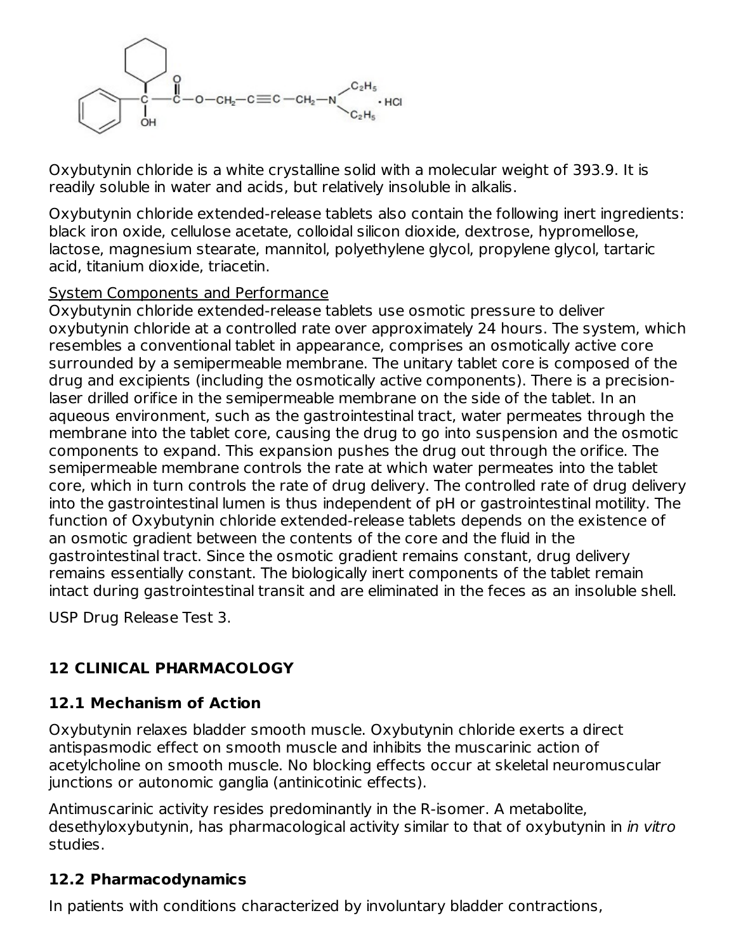

Oxybutynin chloride is a white crystalline solid with a molecular weight of 393.9. It is readily soluble in water and acids, but relatively insoluble in alkalis.

Oxybutynin chloride extended-release tablets also contain the following inert ingredients: black iron oxide, cellulose acetate, colloidal silicon dioxide, dextrose, hypromellose, lactose, magnesium stearate, mannitol, polyethylene glycol, propylene glycol, tartaric acid, titanium dioxide, triacetin.

### System Components and Performance

Oxybutynin chloride extended-release tablets use osmotic pressure to deliver oxybutynin chloride at a controlled rate over approximately 24 hours. The system, which resembles a conventional tablet in appearance, comprises an osmotically active core surrounded by a semipermeable membrane. The unitary tablet core is composed of the drug and excipients (including the osmotically active components). There is a precisionlaser drilled orifice in the semipermeable membrane on the side of the tablet. In an aqueous environment, such as the gastrointestinal tract, water permeates through the membrane into the tablet core, causing the drug to go into suspension and the osmotic components to expand. This expansion pushes the drug out through the orifice. The semipermeable membrane controls the rate at which water permeates into the tablet core, which in turn controls the rate of drug delivery. The controlled rate of drug delivery into the gastrointestinal lumen is thus independent of pH or gastrointestinal motility. The function of Oxybutynin chloride extended-release tablets depends on the existence of an osmotic gradient between the contents of the core and the fluid in the gastrointestinal tract. Since the osmotic gradient remains constant, drug delivery remains essentially constant. The biologically inert components of the tablet remain intact during gastrointestinal transit and are eliminated in the feces as an insoluble shell.

USP Drug Release Test 3.

## **12 CLINICAL PHARMACOLOGY**

## **12.1 Mechanism of Action**

Oxybutynin relaxes bladder smooth muscle. Oxybutynin chloride exerts a direct antispasmodic effect on smooth muscle and inhibits the muscarinic action of acetylcholine on smooth muscle. No blocking effects occur at skeletal neuromuscular junctions or autonomic ganglia (antinicotinic effects).

Antimuscarinic activity resides predominantly in the R-isomer. A metabolite, desethyloxybutynin, has pharmacological activity similar to that of oxybutynin in in vitro studies.

## **12.2 Pharmacodynamics**

In patients with conditions characterized by involuntary bladder contractions,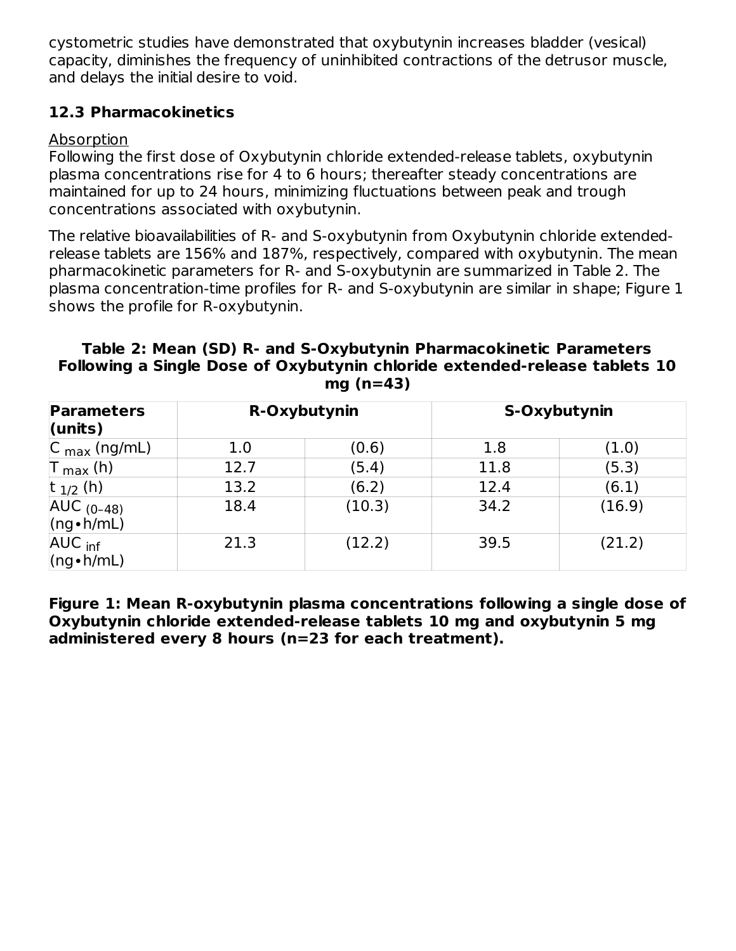cystometric studies have demonstrated that oxybutynin increases bladder (vesical) capacity, diminishes the frequency of uninhibited contractions of the detrusor muscle, and delays the initial desire to void.

## **12.3 Pharmacokinetics**

### Absorption

Following the first dose of Oxybutynin chloride extended-release tablets, oxybutynin plasma concentrations rise for 4 to 6 hours; thereafter steady concentrations are maintained for up to 24 hours, minimizing fluctuations between peak and trough concentrations associated with oxybutynin.

The relative bioavailabilities of R- and S-oxybutynin from Oxybutynin chloride extendedrelease tablets are 156% and 187%, respectively, compared with oxybutynin. The mean pharmacokinetic parameters for R- and S-oxybutynin are summarized in Table 2. The plasma concentration-time profiles for R- and S-oxybutynin are similar in shape; Figure 1 shows the profile for R-oxybutynin.

#### **Table 2: Mean (SD) R- and S-Oxybutynin Pharmacokinetic Parameters Following a Single Dose of Oxybutynin chloride extended-release tablets 10 mg (n=43)**

| <b>Parameters</b><br>$l$ (units)        |      | R-Oxybutynin |      | S-Oxybutynin |
|-----------------------------------------|------|--------------|------|--------------|
| $ C_{\text{max}}(ng/mL) $               | 1.0  | (0.6)        | 1.8  | (1.0)        |
| $\mathsf{T}_{\mathsf{max}}$ (h)         | 12.7 | (5.4)        | 11.8 | (5.3)        |
| t $_{1/2}$ (h)                          | 13.2 | (6.2)        | 12.4 | (6.1)        |
| $AUC_{(0-48)}$<br>$(ng \cdot h/mL)$     | 18.4 | (10.3)       | 34.2 | (16.9)       |
| AUC <sub>inf</sub><br>$(ng \cdot h/mL)$ | 21.3 | (12.2)       | 39.5 | (21.2)       |

**Figure 1: Mean R-oxybutynin plasma concentrations following a single dose of Oxybutynin chloride extended-release tablets 10 mg and oxybutynin 5 mg administered every 8 hours (n=23 for each treatment).**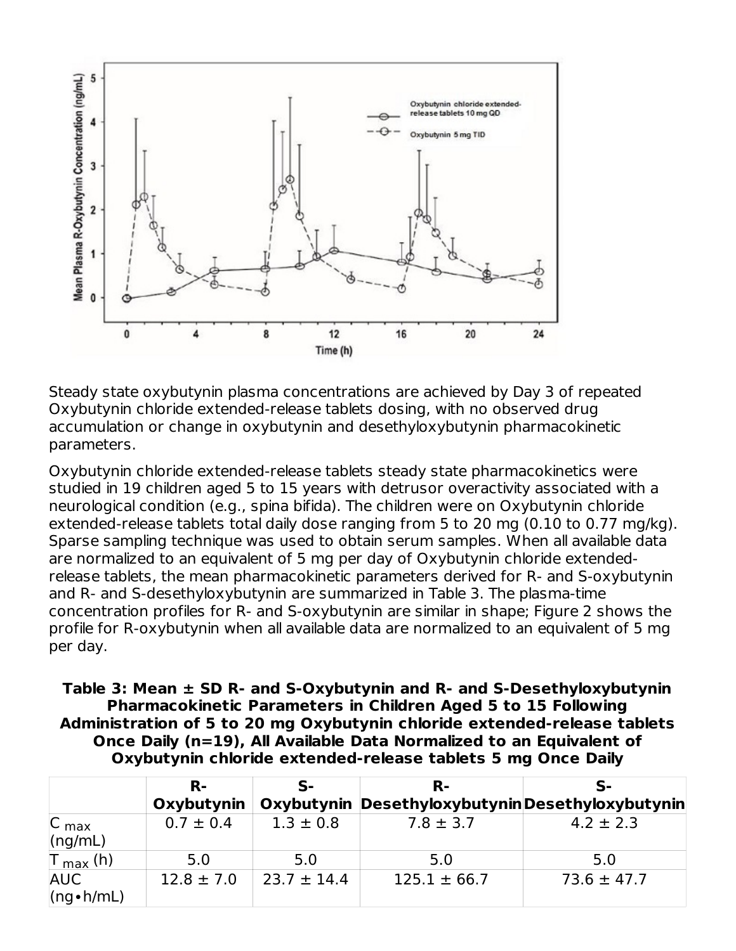

Steady state oxybutynin plasma concentrations are achieved by Day 3 of repeated Oxybutynin chloride extended-release tablets dosing, with no observed drug accumulation or change in oxybutynin and desethyloxybutynin pharmacokinetic parameters.

Oxybutynin chloride extended-release tablets steady state pharmacokinetics were studied in 19 children aged 5 to 15 years with detrusor overactivity associated with a neurological condition (e.g., spina bifida). The children were on Oxybutynin chloride extended-release tablets total daily dose ranging from 5 to 20 mg (0.10 to 0.77 mg/kg). Sparse sampling technique was used to obtain serum samples. When all available data are normalized to an equivalent of 5 mg per day of Oxybutynin chloride extendedrelease tablets, the mean pharmacokinetic parameters derived for R- and S-oxybutynin and R- and S-desethyloxybutynin are summarized in Table 3. The plasma-time concentration profiles for R- and S-oxybutynin are similar in shape; Figure 2 shows the profile for R-oxybutynin when all available data are normalized to an equivalent of 5 mg per day.

**Table 3: Mean ± SD R- and S-Oxybutynin and R- and S-Desethyloxybutynin Pharmacokinetic Parameters in Children Aged 5 to 15 Following Administration of 5 to 20 mg Oxybutynin chloride extended-release tablets Once Daily (n=19), All Available Data Normalized to an Equivalent of Oxybutynin chloride extended-release tablets 5 mg Once Daily**

|                                 | R-             | ς.              | R-                                              | $\mathbf{S}$ -  |
|---------------------------------|----------------|-----------------|-------------------------------------------------|-----------------|
|                                 | Oxybutynin     |                 | Oxybutynin DesethyloxybutyninDesethyloxybutynin |                 |
| $ C_{\text{max}} $<br>(ng/mL)   | $0.7 \pm 0.4$  | $1.3 \pm 0.8$   | $7.8 \pm 3.7$                                   | $4.2 \pm 2.3$   |
| $T_{max}$ (h)                   | 5.0            | 5.0             | 5.0                                             | 5.0             |
| <b>AUC</b><br>$(ng \cdot h/mL)$ | $12.8 \pm 7.0$ | $23.7 \pm 14.4$ | $125.1 \pm 66.7$                                | $73.6 \pm 47.7$ |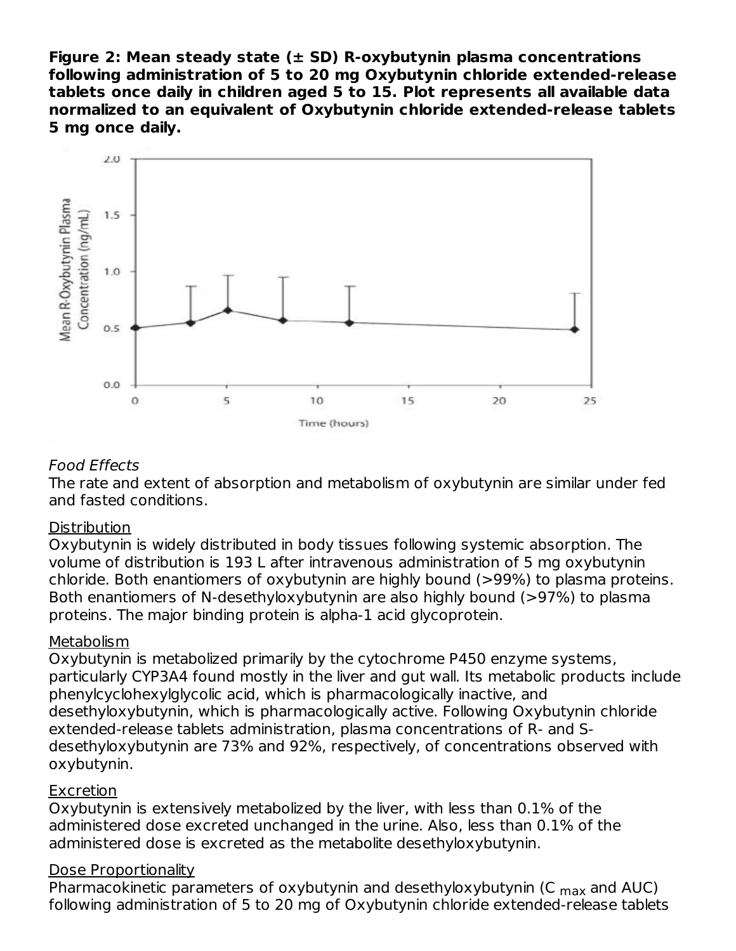**Figure 2: Mean steady state (± SD) R-oxybutynin plasma concentrations following administration of 5 to 20 mg Oxybutynin chloride extended-release tablets once daily in children aged 5 to 15. Plot represents all available data normalized to an equivalent of Oxybutynin chloride extended-release tablets 5 mg once daily.**



#### Food Effects

The rate and extent of absorption and metabolism of oxybutynin are similar under fed and fasted conditions.

#### **Distribution**

Oxybutynin is widely distributed in body tissues following systemic absorption. The volume of distribution is 193 L after intravenous administration of 5 mg oxybutynin chloride. Both enantiomers of oxybutynin are highly bound (>99%) to plasma proteins. Both enantiomers of N-desethyloxybutynin are also highly bound (>97%) to plasma proteins. The major binding protein is alpha-1 acid glycoprotein.

### **Metabolism**

Oxybutynin is metabolized primarily by the cytochrome P450 enzyme systems, particularly CYP3A4 found mostly in the liver and gut wall. Its metabolic products include phenylcyclohexylglycolic acid, which is pharmacologically inactive, and desethyloxybutynin, which is pharmacologically active. Following Oxybutynin chloride extended-release tablets administration, plasma concentrations of R- and Sdesethyloxybutynin are 73% and 92%, respectively, of concentrations observed with oxybutynin.

### **Excretion**

Oxybutynin is extensively metabolized by the liver, with less than 0.1% of the administered dose excreted unchanged in the urine. Also, less than 0.1% of the administered dose is excreted as the metabolite desethyloxybutynin.

### Dose Proportionality

Pharmacokinetic parameters of oxybutynin and desethyloxybutynin (C <sub>max</sub> and AUC) following administration of 5 to 20 mg of Oxybutynin chloride extended-release tablets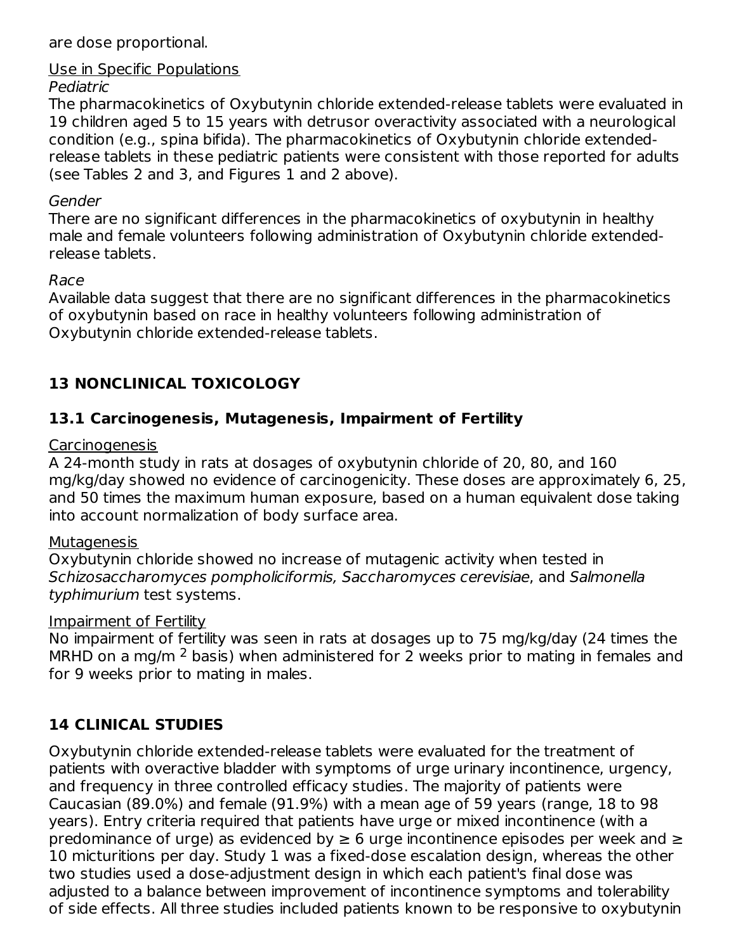are dose proportional.

## Use in Specific Populations

### Pediatric

The pharmacokinetics of Oxybutynin chloride extended-release tablets were evaluated in 19 children aged 5 to 15 years with detrusor overactivity associated with a neurological condition (e.g., spina bifida). The pharmacokinetics of Oxybutynin chloride extendedrelease tablets in these pediatric patients were consistent with those reported for adults (see Tables 2 and 3, and Figures 1 and 2 above).

## Gender

There are no significant differences in the pharmacokinetics of oxybutynin in healthy male and female volunteers following administration of Oxybutynin chloride extendedrelease tablets.

### Race

Available data suggest that there are no significant differences in the pharmacokinetics of oxybutynin based on race in healthy volunteers following administration of Oxybutynin chloride extended-release tablets.

## **13 NONCLINICAL TOXICOLOGY**

## **13.1 Carcinogenesis, Mutagenesis, Impairment of Fertility**

## Carcinogenesis

A 24-month study in rats at dosages of oxybutynin chloride of 20, 80, and 160 mg/kg/day showed no evidence of carcinogenicity. These doses are approximately 6, 25, and 50 times the maximum human exposure, based on a human equivalent dose taking into account normalization of body surface area.

### **Mutagenesis**

Oxybutynin chloride showed no increase of mutagenic activity when tested in Schizosaccharomyces pompholiciformis, Saccharomyces cerevisiae, and Salmonella typhimurium test systems.

### Impairment of Fertility

No impairment of fertility was seen in rats at dosages up to 75 mg/kg/day (24 times the MRHD on a mg/m  $2$  basis) when administered for 2 weeks prior to mating in females and for 9 weeks prior to mating in males.

## **14 CLINICAL STUDIES**

Oxybutynin chloride extended-release tablets were evaluated for the treatment of patients with overactive bladder with symptoms of urge urinary incontinence, urgency, and frequency in three controlled efficacy studies. The majority of patients were Caucasian (89.0%) and female (91.9%) with a mean age of 59 years (range, 18 to 98 years). Entry criteria required that patients have urge or mixed incontinence (with a predominance of urge) as evidenced by  $\geq$  6 urge incontinence episodes per week and  $\geq$ 10 micturitions per day. Study 1 was a fixed-dose escalation design, whereas the other two studies used a dose-adjustment design in which each patient's final dose was adjusted to a balance between improvement of incontinence symptoms and tolerability of side effects. All three studies included patients known to be responsive to oxybutynin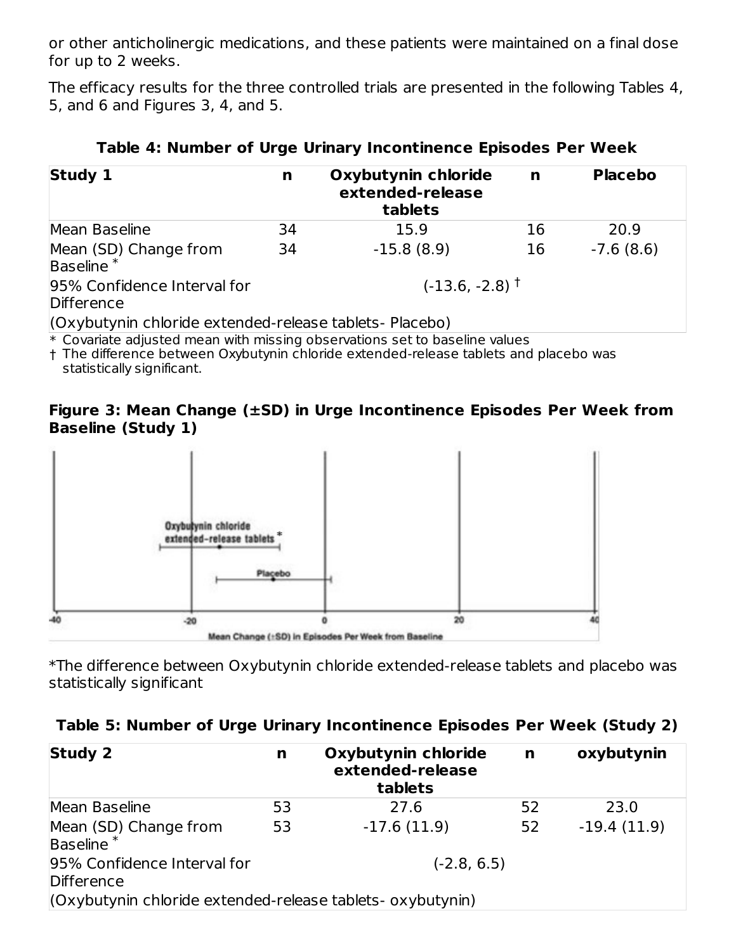or other anticholinergic medications, and these patients were maintained on a final dose for up to 2 weeks.

The efficacy results for the three controlled trials are presented in the following Tables 4, 5, and 6 and Figures 3, 4, and 5.

| <b>Study 1</b>                                                                                                                                                            | n  | Oxybutynin chloride<br>extended-release<br>tablets | $\mathbf n$ | <b>Placebo</b> |
|---------------------------------------------------------------------------------------------------------------------------------------------------------------------------|----|----------------------------------------------------|-------------|----------------|
| Mean Baseline                                                                                                                                                             | 34 | 15.9                                               | 16          | 20.9           |
| Mean (SD) Change from<br>Baseline <sup>*</sup>                                                                                                                            | 34 | $-15.8(8.9)$                                       | 16          | $-7.6(8.6)$    |
| 95% Confidence Interval for<br>Difference                                                                                                                                 |    | $(-13.6, -2.8)$ <sup>+</sup>                       |             |                |
| (Oxybutynin chloride extended-release tablets- Placebo)<br>iki. Oleh sedangan bertama bertama di dalam bertama dan bertama bertama dan bertama di dan bertama di dalam be |    |                                                    |             |                |

|  | Table 4: Number of Urge Urinary Incontinence Episodes Per Week |  |  |  |  |
|--|----------------------------------------------------------------|--|--|--|--|
|--|----------------------------------------------------------------|--|--|--|--|

 $\ast$  Covariate adjusted mean with missing observations set to baseline values

† The difference between Oxybutynin chloride extended-release tablets and placebo was statistically significant.

#### **Figure 3: Mean Change (±SD) in Urge Incontinence Episodes Per Week from Baseline (Study 1)**



\*The difference between Oxybutynin chloride extended-release tablets and placebo was statistically significant

|  |  | Table 5: Number of Urge Urinary Incontinence Episodes Per Week (Study 2) |  |  |  |
|--|--|--------------------------------------------------------------------------|--|--|--|
|  |  |                                                                          |  |  |  |

| Study 2                                                    | n  | Oxybutynin chloride<br>extended-release<br>tablets | n  | oxybutynin    |
|------------------------------------------------------------|----|----------------------------------------------------|----|---------------|
| Mean Baseline                                              | 53 | 27.6                                               | 52 | 23.0          |
| Mean (SD) Change from<br>Baseline <sup>*</sup>             | 53 | $-17.6(11.9)$                                      | 52 | $-19.4(11.9)$ |
| 95% Confidence Interval for<br>Difference                  |    | $(-2.8, 6.5)$                                      |    |               |
| (Oxybutynin chloride extended-release tablets- oxybutynin) |    |                                                    |    |               |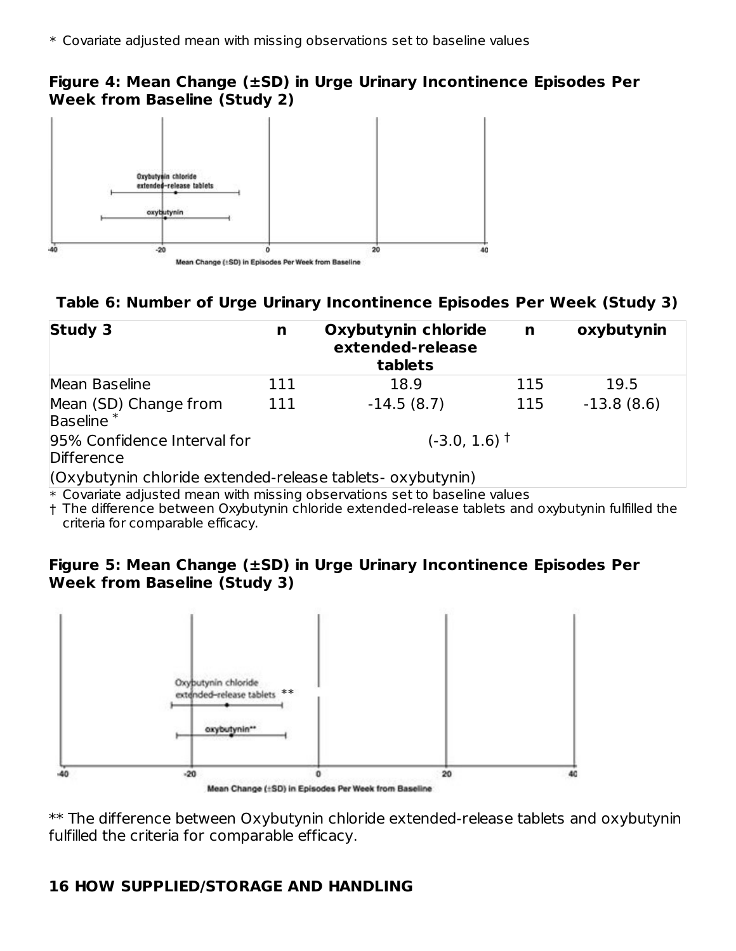## **Figure 4: Mean Change (±SD) in Urge Urinary Incontinence Episodes Per Week from Baseline (Study 2)**



## **Table 6: Number of Urge Urinary Incontinence Episodes Per Week (Study 3)**

| <b>Study 3</b>                                             | n   | Oxybutynin chloride<br>extended-release<br>tablets | n   | oxybutynin   |
|------------------------------------------------------------|-----|----------------------------------------------------|-----|--------------|
| Mean Baseline                                              | 111 | 18.9                                               | 115 | 19.5         |
| Mean (SD) Change from<br>Baseline <sup>*</sup>             | 111 | $-14.5(8.7)$                                       | 115 | $-13.8(8.6)$ |
| 95% Confidence Interval for<br>Difference                  |     | $(-3.0, 1.6)$ <sup>+</sup>                         |     |              |
| (Oxybutynin chloride extended-release tablets- oxybutynin) | .   |                                                    |     |              |

 $\ast$  Covariate adjusted mean with missing observations set to baseline values

† The difference between Oxybutynin chloride extended-release tablets and oxybutynin fulfilled the criteria for comparable efficacy.

### **Figure 5: Mean Change (±SD) in Urge Urinary Incontinence Episodes Per Week from Baseline (Study 3)**



\*\* The difference between Oxybutynin chloride extended-release tablets and oxybutynin fulfilled the criteria for comparable efficacy.

## **16 HOW SUPPLIED/STORAGE AND HANDLING**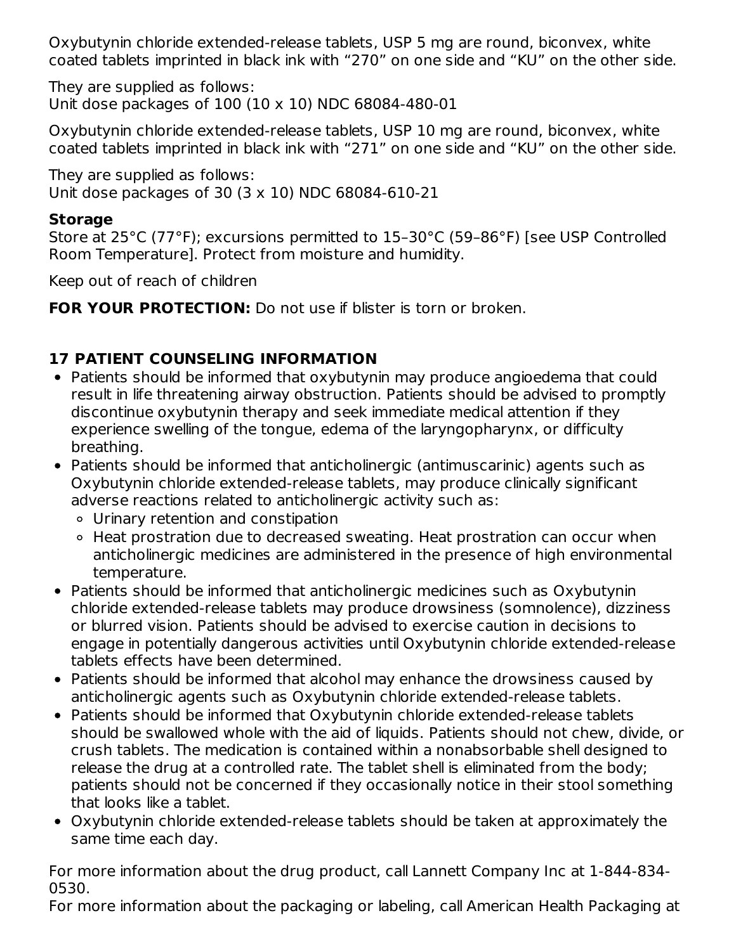Oxybutynin chloride extended-release tablets, USP 5 mg are round, biconvex, white coated tablets imprinted in black ink with "270" on one side and "KU" on the other side.

They are supplied as follows: Unit dose packages of 100 (10 x 10) NDC 68084-480-01

Oxybutynin chloride extended-release tablets, USP 10 mg are round, biconvex, white coated tablets imprinted in black ink with "271" on one side and "KU" on the other side.

They are supplied as follows: Unit dose packages of 30 (3 x 10) NDC 68084-610-21

## **Storage**

Store at 25°C (77°F); excursions permitted to 15–30°C (59–86°F) [see USP Controlled Room Temperature]. Protect from moisture and humidity.

Keep out of reach of children

**FOR YOUR PROTECTION:** Do not use if blister is torn or broken.

## **17 PATIENT COUNSELING INFORMATION**

- Patients should be informed that oxybutynin may produce angioedema that could result in life threatening airway obstruction. Patients should be advised to promptly discontinue oxybutynin therapy and seek immediate medical attention if they experience swelling of the tongue, edema of the laryngopharynx, or difficulty breathing.
- Patients should be informed that anticholinergic (antimuscarinic) agents such as Oxybutynin chloride extended-release tablets, may produce clinically significant adverse reactions related to anticholinergic activity such as:
	- Urinary retention and constipation
	- Heat prostration due to decreased sweating. Heat prostration can occur when anticholinergic medicines are administered in the presence of high environmental temperature.
- Patients should be informed that anticholinergic medicines such as Oxybutynin chloride extended-release tablets may produce drowsiness (somnolence), dizziness or blurred vision. Patients should be advised to exercise caution in decisions to engage in potentially dangerous activities until Oxybutynin chloride extended-release tablets effects have been determined.
- Patients should be informed that alcohol may enhance the drowsiness caused by anticholinergic agents such as Oxybutynin chloride extended-release tablets.
- Patients should be informed that Oxybutynin chloride extended-release tablets should be swallowed whole with the aid of liquids. Patients should not chew, divide, or crush tablets. The medication is contained within a nonabsorbable shell designed to release the drug at a controlled rate. The tablet shell is eliminated from the body; patients should not be concerned if they occasionally notice in their stool something that looks like a tablet.
- Oxybutynin chloride extended-release tablets should be taken at approximately the same time each day.

For more information about the drug product, call Lannett Company Inc at 1-844-834- 0530.

For more information about the packaging or labeling, call American Health Packaging at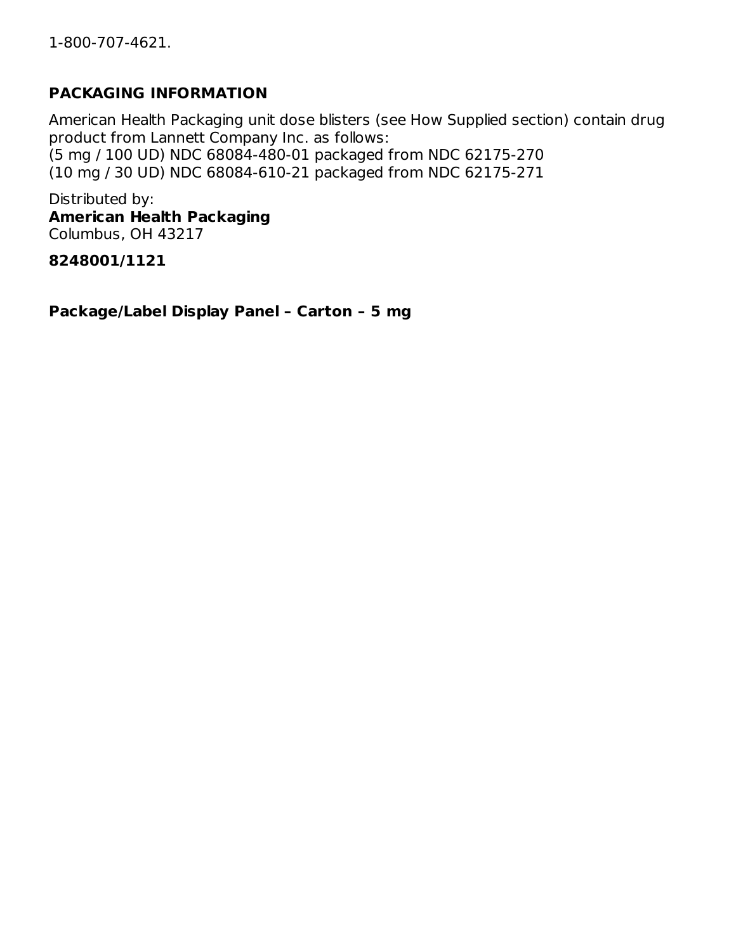## **PACKAGING INFORMATION**

American Health Packaging unit dose blisters (see How Supplied section) contain drug product from Lannett Company Inc. as follows: (5 mg / 100 UD) NDC 68084-480-01 packaged from NDC 62175-270 (10 mg / 30 UD) NDC 68084-610-21 packaged from NDC 62175-271

Distributed by: **American Health Packaging** Columbus, OH 43217

**8248001/1121**

**Package/Label Display Panel – Carton – 5 mg**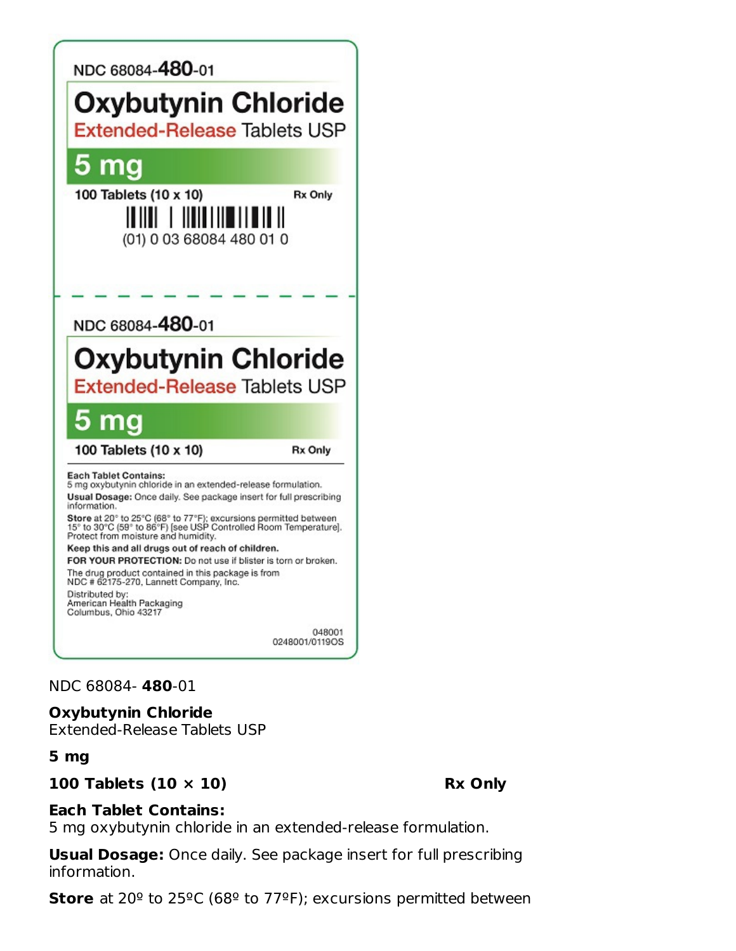

#### NDC 68084- **480**-01

#### **Oxybutynin Chloride**

Extended-Release Tablets USP

#### **5 mg**

#### **100 Tablets (10 × 10) Rx Only**

#### **Each Tablet Contains:**

5 mg oxybutynin chloride in an extended-release formulation.

**Usual Dosage:** Once daily. See package insert for full prescribing information.

**Store** at 20º to 25ºC (68º to 77ºF); excursions permitted between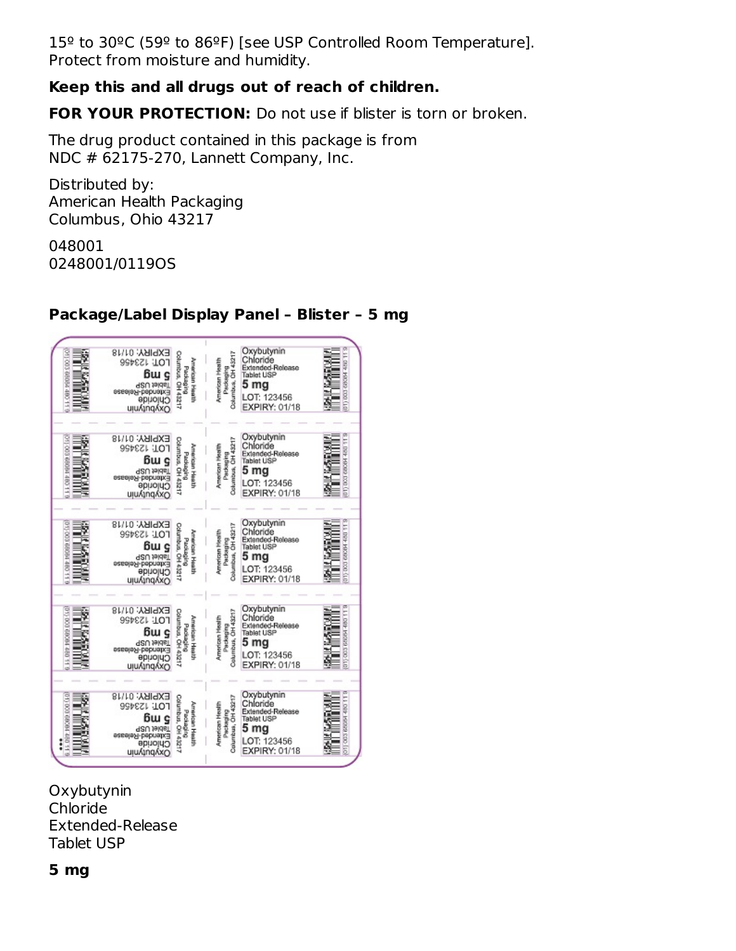15º to 30ºC (59º to 86ºF) [see USP Controlled Room Temperature]. Protect from moisture and humidity.

## **Keep this and all drugs out of reach of children.**

**FOR YOUR PROTECTION:** Do not use if blister is torn or broken.

The drug product contained in this package is from NDC # 62175-270, Lannett Company, Inc.

Distributed by: American Health Packaging Columbus, Ohio 43217

048001 0248001/0119OS

#### $\begin{tabular}{l|c|c|c} & Cxybutynin \\ \hline \hline \texttt{g} & \texttt{Chloride} \\ \texttt{g} & \texttt{B} & \texttt{Entordde} \\ \texttt{h} & \texttt{B} & \texttt{I} & \texttt{I} & \texttt{I} \\ \texttt{h} & \texttt{B} & \texttt{I} & \texttt{B} & \texttt{I} \\ \texttt{h} & \texttt{B} & \texttt{B} & \texttt{I} & \texttt{B} & \texttt{I} \\ \texttt{h} & \texttt{B} & \texttt{I} & \texttt{I} & \texttt{I} & \texttt{I} &$ **第六章解决** Oxybutynin EXPIRY: 01/18  $\overline{1}$ ujungkxo  $\begin{array}{l} \left\{\begin{array}{l} \text{EXPIRY: O118} \\ \text{1011} \\ \text{112} \\ \text{123} \\ \text{124} \\ \text{135} \\ \text{146} \\ \text{157} \\ \text{168} \\ \text{179} \\ \text{189} \\ \text{190} \\ \text{191} \\ \text{1011} \\ \text{1011} \\ \text{1011} \\ \text{1011} \\ \text{1011} \\ \text{1011} \\ \text{1011} \\ \text{1011} \\ \text{1011} \\ \text{1011} \\ \text{$ **THE REAL PROPERTY**  $\begin{tabular}{l|c|c|c} & \multicolumn{1}{c}{\textbf{Cxybutynin}}\\ \hline \textbf{g} & \multicolumn{1}{c}{\textbf{Chloride}}\\ \hline \textbf{g} & \multicolumn{1}{c}{\textbf{Extlandde-Relesse}}\\ \hline \textbf{g} & \multicolumn{1}{c}{\textbf{Extlandde-Relesse}}\\ \hline \textbf{g} & \multicolumn{1}{c}{\textbf{S}} & \multicolumn{1}{c}{\textbf{Tublot Use}}\\ \hline \textbf{g} & \multicolumn{1}{c}{\textbf{LOT: 123456}}\\ \hline \textbf{g} &$ Oxybutynin T  $\begin{array}{c} \mathcal{L} \mathcal{L} \mathsf{PIR} \mathcal{L} \mathsf{G} \mathsf{G} \mathsf{G} \mathsf{G} \mathsf{G} \mathsf{G} \mathsf{G} \mathsf{G} \mathsf{G} \mathsf{G} \mathsf{G} \mathsf{G} \mathsf{G} \mathsf{G} \mathsf{G} \mathsf{G} \mathsf{G} \mathsf{G} \mathsf{G} \mathsf{G} \mathsf{G} \mathsf{G} \mathsf{G} \mathsf{G} \mathsf{G} \mathsf{G} \mathsf{G} \mathsf{G} \mathsf{G} \mathsf{G} \mathsf{G} \math$ **Second Control BARANG BARATA** Oxybutynin  $\mathbb{E}$  $\mathbb{E}% _{t}\left[ \mathcal{F}_{t}\right]$ det-B EXPIRY: 01/18  $\begin{array}{c} \mathbb{S} \\ \mathbb{S} \\ \mathbb{S} \\ \mathbb{S} \\ \mathbb{S} \\ \mathbb{S} \\ \mathbb{S} \\ \mathbb{S} \\ \mathbb{S} \\ \mathbb{S} \\ \mathbb{S} \\ \mathbb{S} \\ \mathbb{S} \\ \mathbb{S} \\ \mathbb{S} \\ \mathbb{S} \\ \mathbb{S} \\ \mathbb{S} \\ \mathbb{S} \\ \mathbb{S} \\ \mathbb{S} \\ \mathbb{S} \\ \mathbb{S} \\ \mathbb{S} \\ \mathbb{S} \\ \mathbb{S} \\ \mathbb{S} \\ \mathbb{S} \\ \mathbb{S} \\ \mathbb{S} \\ \mathbb$ Oxybutynin **BASK MARKET**  $\begin{array}{c} \hline \end{array}$ 鱶  $\begin{tabular}{l|c|c|c|c|c} \hline $\xi$ & LOT: 123456 \\ \hline & 8 & EXPIRY: 01/18 \\ \hline & $\theta$ & 0 \\ $\theta$ & $5$ & Chloride \\ $\theta$ & 1 & Chloride \\ $\theta$ & 5 & 10 & 123456 \\ $\theta$ & 6 & 10 & 123456 \\ $\theta$ & EXPIRY: 01/18 \\ \hline \end{tabular}$ ujuAjnqAxO  $\begin{array}{c} \mathcal{L} \mathbf{SUSL} \\ \mathcal{L} \mathbf{SUSL} \\ \mathcal{L} \mathbf{SUSL} \\ \mathcal{L} \mathbf{SUSL} \\ \mathcal{L} \mathbf{SUSL} \\ \mathcal{L} \mathbf{SUSL} \\ \mathcal{L} \mathbf{SUSL} \\ \mathcal{L} \mathbf{SUSL} \\ \mathcal{L} \mathbf{SUSL} \\ \mathcal{L} \mathbf{SUSL} \\ \mathcal{L} \mathbf{SUSL} \\ \mathcal{L} \mathbf{SUSL} \\ \mathcal{L} \mathbf{SUSL} \\ \mathcal{L} \mathbf{SUSL} \\ \mathcal$ E **WERNING**  $......$ 編 uju/unq/xo

### **Package/Label Display Panel – Blister – 5 mg**

**Oxybutynin** Chloride Extended-Release Tablet USP

### **5 mg**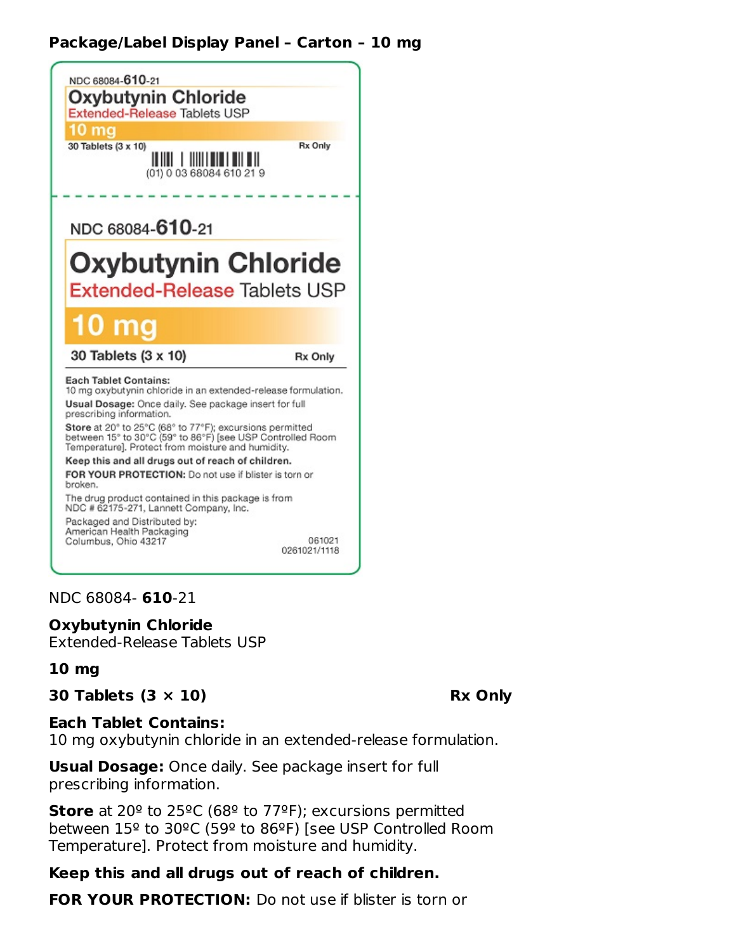## **Package/Label Display Panel – Carton – 10 mg**



NDC 68084- **610**-21

**Oxybutynin Chloride** Extended-Release Tablets USP

#### **10 mg**

#### **30 Tablets (3 × 10) Rx Only**

#### **Each Tablet Contains:**

10 mg oxybutynin chloride in an extended-release formulation.

**Usual Dosage:** Once daily. See package insert for full prescribing information.

**Store** at 20º to 25ºC (68º to 77ºF); excursions permitted between 15º to 30ºC (59º to 86ºF) [see USP Controlled Room Temperature]. Protect from moisture and humidity.

### **Keep this and all drugs out of reach of children.**

**FOR YOUR PROTECTION:** Do not use if blister is torn or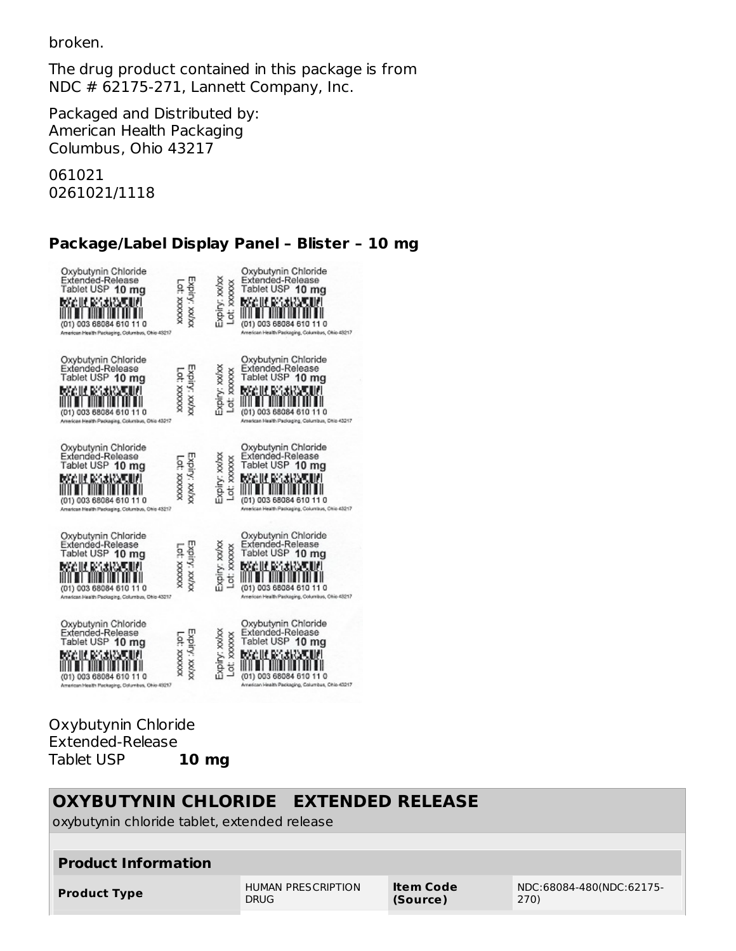broken.

The drug product contained in this package is from NDC # 62175-271, Lannett Company, Inc.

Packaged and Distributed by: American Health Packaging Columbus, Ohio 43217

061021 0261021/1118

## **Package/Label Display Panel – Blister – 10 mg**

| Oxybutynin Chloride<br>Extended-Release<br>Tablet USP 10 mg<br>boolif pasiwal<br>(01) 003 68084 610 11 0<br>American Health Packaging, Columbus, Ohio 43217  | Expiry: xx/xx<br>CC: XXXXXX  | Expiry: xxixx<br>Lot; xxxxxx | Oxybutynin Chloride<br>Extended-Release<br>Tablet USP 10 mg<br>MGU MGARM<br>(01) 003 68084 610 11 0<br>American Health Packaging, Columbus, Ohio 43217    |
|--------------------------------------------------------------------------------------------------------------------------------------------------------------|------------------------------|------------------------------|-----------------------------------------------------------------------------------------------------------------------------------------------------------|
| Oxybutynin Chloride<br>Extended-Release<br>Tablet USP 10 mg<br>MAGIN BAXIS TIM<br>(01) 003 68084 610 11 0<br>American Health Packaging, Columbus, Ohio 43217 | Expiry: xx/xx<br>10. XXXXXX  | Expiry: xx/xx<br>Lot: xxxxxx | Oxybutynin Chloride<br>Extended-Release<br>Tablet USP 10 mg<br>MGU MGA 2011<br>(01) 003 68084 610 11 0<br>American Health Packaging, Columbus, Ohio 43217 |
| Oxybutynin Chloride<br>Exfended-Release<br>Tablet USP 10 mg<br>MC III RAXION.<br>003 68084 610 11 0<br>rican Health Packaging, Columbus, Ohio 43217          | Expiry: xx/xx<br>01. XXXXXX  | Expiry: xx/xx<br>Lot: xxxxxx | Oxybutynin Chloride<br>Extended-Release<br>Tablet USP 10 mg<br>MGIN MARAT<br>(01) 003 68084 610 11 0<br>American Health Packaging, Columbus, Ohio 43217   |
| Oxybutynin Chloride<br>Extended-Release<br>Tablet USP 10 mg<br>MAGIN BARANG IN<br>(01) 003 68084 610 11 0<br>American Health Packaging, Columbus, Ohio 43217 | Expiry: xx/xx<br>CXXXXX 10   | Expiry: xx/xx<br>Lot: xxxxxx | Oxybutynin Chloride<br>Extended-Release<br>Tablet USP 10 mg<br>ራሪዘር ፍላጎ የአማ<br>(01) 003 68084 610 11 0<br>American Health Packaging, Columbus, Ohio 43217 |
| Oxybutynin Chloride<br>Extended-Release<br>Tablet USP 10 mg<br>Malli Rosia<br>(01) 003 68084 610 11 0<br>American Health Packaging, Columbus, Ohio 43217     | Expiry: xx/xx<br>XXXXXX :10" | Expiry: xx/xx<br>Lot: xxxxxx | Oxybutynin Chloride<br>Extended-Release<br>Tablet USP 10 mg<br>bacin Mary<br>(01) 003 68084 610<br>American Health Packaging, Columbus, Ohio 43217        |

#### Oxybutynin Chloride Extended-Release<br>Tablet USP **10 mg** Tablet USP **10 mg**

| OXYBUTYNIN CHLORIDE EXTENDED RELEASE<br>oxybutynin chloride tablet, extended release |                                          |                              |                                  |  |  |
|--------------------------------------------------------------------------------------|------------------------------------------|------------------------------|----------------------------------|--|--|
| <b>Product Information</b>                                                           |                                          |                              |                                  |  |  |
| <b>Product Type</b>                                                                  | <b>HUMAN PRESCRIPTION</b><br><b>DRUG</b> | <b>Item Code</b><br>(Source) | NDC:68084-480(NDC:62175-<br>270) |  |  |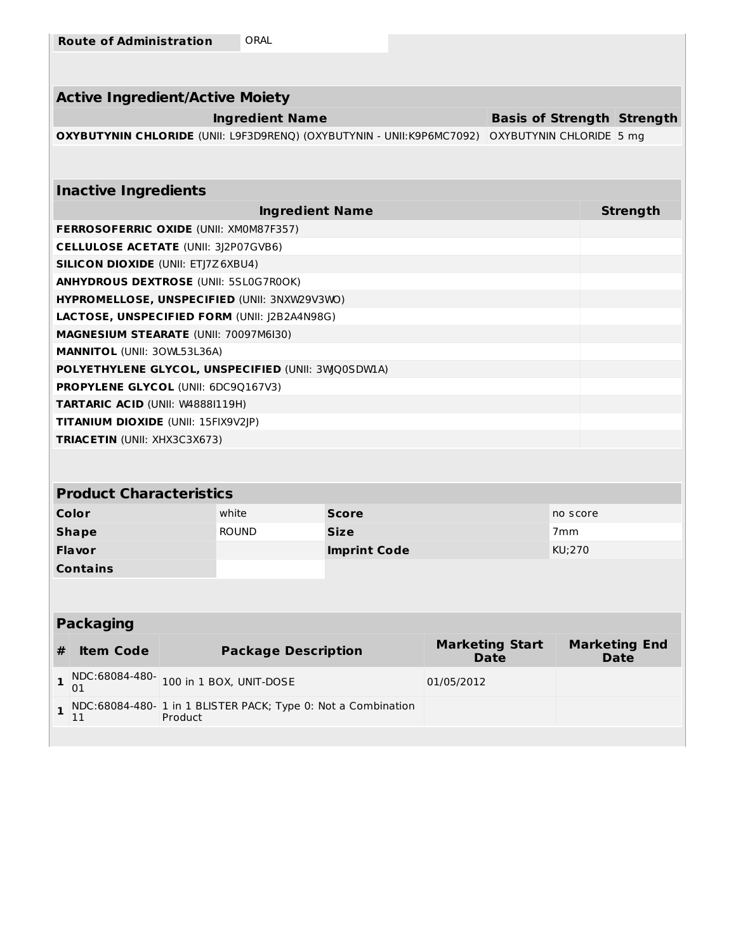|  | <b>Route of Administration</b> | ORAL |
|--|--------------------------------|------|
|--|--------------------------------|------|

| <b>Active Ingredient/Active Moiety</b>                                       |                                   |                 |
|------------------------------------------------------------------------------|-----------------------------------|-----------------|
| <b>Ingredient Name</b>                                                       | <b>Basis of Strength Strength</b> |                 |
| <b>OXYBUTYNIN CHLORIDE</b> (UNII: L9F3D9RENQ) (OXYBUTYNIN - UNII:K9P6MC7092) | OXYBUTYNIN CHLORIDE 5 mg          |                 |
|                                                                              |                                   |                 |
|                                                                              |                                   |                 |
| <b>Inactive Ingredients</b>                                                  |                                   |                 |
| <b>Ingredient Name</b>                                                       |                                   | <b>Strength</b> |
| <b>FERROSOFERRIC OXIDE (UNII: XM0M87F357)</b>                                |                                   |                 |
| <b>CELLULOSE ACETATE (UNII: 3J2P07GVB6)</b>                                  |                                   |                 |
| <b>SILICON DIOXIDE (UNII: ETJ7Z6XBU4)</b>                                    |                                   |                 |
| <b>ANHYDROUS DEXTROSE (UNII: 5SL0G7R0OK)</b>                                 |                                   |                 |
| HYPROMELLOSE, UNSPECIFIED (UNII: 3NXW29V3WO)                                 |                                   |                 |
| LACTOSE, UNSPECIFIED FORM (UNII: J2B2A4N98G)                                 |                                   |                 |
| <b>MAGNESIUM STEARATE (UNII: 70097M6I30)</b>                                 |                                   |                 |
| <b>MANNITOL (UNII: 30WL53L36A)</b>                                           |                                   |                 |
| POLYETHYLENE GLYCOL, UNSPECIFIED (UNII: 3WO0SDW1A)                           |                                   |                 |
| <b>PROPYLENE GLYCOL (UNII: 6DC9Q167V3)</b>                                   |                                   |                 |
| TARTARIC ACID (UNII: W48881119H)                                             |                                   |                 |
| <b>TITANIUM DIOXIDE (UNII: 15FIX9V2JP)</b>                                   |                                   |                 |
| <b>TRIACETIN (UNII: XHX3C3X673)</b>                                          |                                   |                 |

## **Product Characteristics**

| Color           | white        | <b>Score</b>        | no score        |
|-----------------|--------------|---------------------|-----------------|
| <b>Shape</b>    | <b>ROUND</b> | <b>Size</b>         | 7 <sub>mm</sub> |
| <b>Flavor</b>   |              | <b>Imprint Code</b> | KU;270          |
| <b>Contains</b> |              |                     |                 |

## **Packaging**

| <b>Item Code</b> | <b>Package Description</b>                                                 | <b>Marketing Start</b><br>Date | <b>Marketing End</b><br><b>Date</b> |
|------------------|----------------------------------------------------------------------------|--------------------------------|-------------------------------------|
|                  | 1 NDC:68084-480-<br>01 02 100 in 1 BOX, UNIT-DOSE                          | 01/05/2012                     |                                     |
|                  | 1 NDC:68084-480- 1 in 1 BLISTER PACK; Type 0: Not a Combination<br>Product |                                |                                     |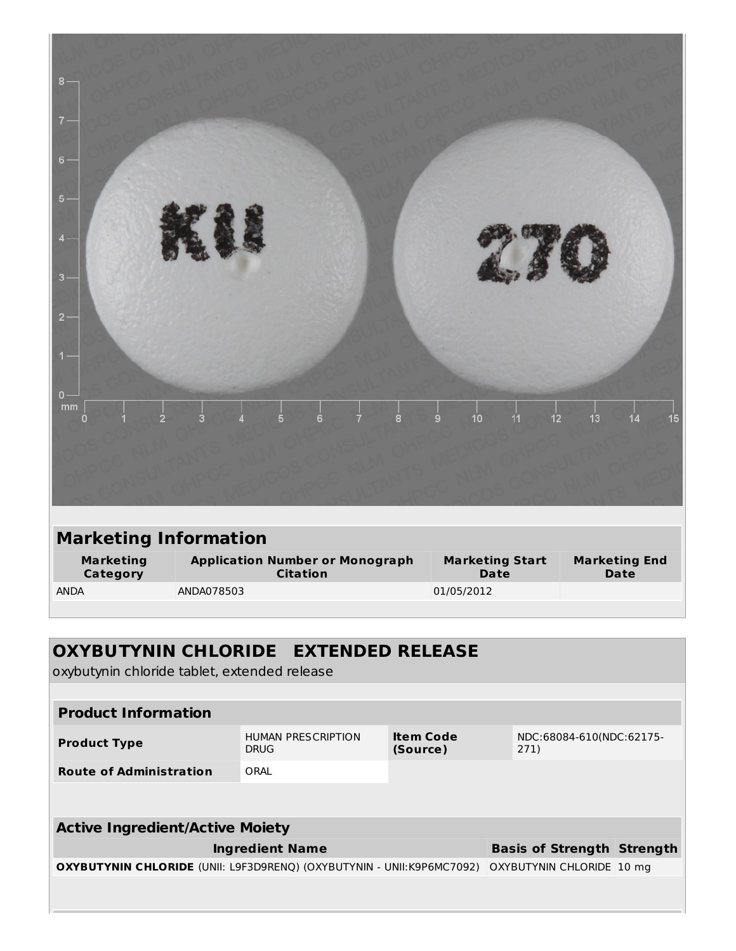| $8 -$<br>7<br>$6 -$<br>$5 -$<br>$\overline{\mathbf{4}}$<br>$3 -$<br>2 <sup>1</sup><br>$\overline{1}$ |                                                           |                          |                                          |                              |
|------------------------------------------------------------------------------------------------------|-----------------------------------------------------------|--------------------------|------------------------------------------|------------------------------|
| $\mathbf{0}$<br>$\mathop{\mathrm{mm}}\nolimits$<br>$\dot{2}$<br>$\mathbf{0}$                         | 3<br>5                                                    | 6<br>$\overline{7}$<br>8 | 10<br>12<br>$\dot{9}$<br>$\overline{11}$ | 15<br>13<br>14               |
|                                                                                                      |                                                           |                          |                                          |                              |
| <b>Marketing Information</b>                                                                         |                                                           |                          |                                          |                              |
| <b>Marketing</b><br>Category                                                                         | <b>Application Number or Monograph</b><br><b>Citation</b> |                          | <b>Marketing Start</b><br>Date           | <b>Marketing End</b><br>Date |
| <b>ANDA</b>                                                                                          | ANDA078503                                                |                          | 01/05/2012                               |                              |

## **OXYBUTYNIN CHLORIDE EXTENDED RELEASE** oxybutynin chloride tablet, extended release **Product Information Product Type** HUMAN PRESCRIPTION DRUG **Item Code (Source)** NDC:68084-610(NDC:62175- 271) **Route of Administration** ORAL **Active Ingredient/Active Moiety Ingredient Name Basis of Strength Strength OXYBUTYNIN CHLORIDE** (UNII: L9F3D9RENQ) (OXYBUTYNIN - UNII:K9P6MC7092) OXYBUTYNIN CHLORIDE 10 mg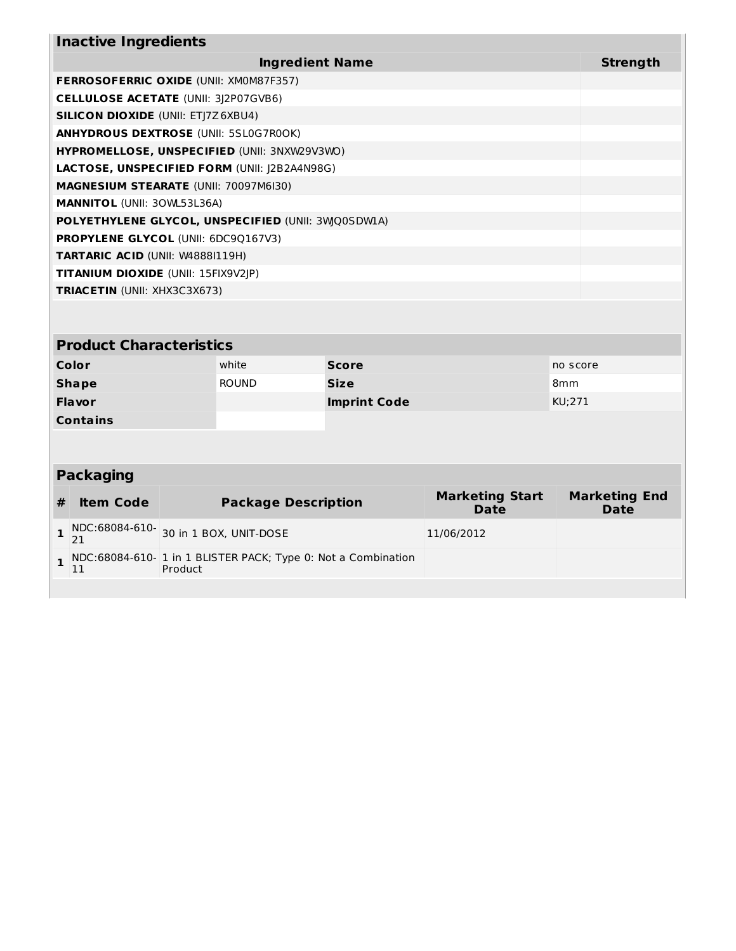| <b>Inactive Ingredients</b>                         |          |  |  |
|-----------------------------------------------------|----------|--|--|
| <b>Ingredient Name</b>                              | Strength |  |  |
| <b>FERROSOFERRIC OXIDE (UNII: XMOM87F357)</b>       |          |  |  |
| <b>CELLULOSE ACETATE (UNII: 3)2P07GVB6)</b>         |          |  |  |
| <b>SILICON DIOXIDE (UNII: ETJ7Z6XBU4)</b>           |          |  |  |
| <b>ANHYDROUS DEXTROSE (UNII: 5SL0G7R0OK)</b>        |          |  |  |
| <b>HYPROMELLOSE, UNSPECIFIED (UNII: 3NXW29V3WO)</b> |          |  |  |
| <b>LACTOSE, UNSPECIFIED FORM (UNII: J2B2A4N98G)</b> |          |  |  |
| <b>MAGNESIUM STEARATE (UNII: 70097M6I30)</b>        |          |  |  |
| <b>MANNITOL (UNII: 30WL53L36A)</b>                  |          |  |  |
| POLYETHYLENE GLYCOL, UNSPECIFIED (UNII: 3WO0SDWIA)  |          |  |  |
| <b>PROPYLENE GLYCOL (UNII: 6DC90167V3)</b>          |          |  |  |
| <b>TARTARIC ACID (UNII: W48881119H)</b>             |          |  |  |
| <b>TITANIUM DIOXIDE</b> (UNII: 15FIX9V2JP)          |          |  |  |
| <b>TRIACETIN</b> (UNII: XHX3C3X673)                 |          |  |  |
|                                                     |          |  |  |

## **Product Characteristics**

| Color           | white        | <b>Score</b>        | no score        |
|-----------------|--------------|---------------------|-----------------|
| <b>Shape</b>    | <b>ROUND</b> | <b>Size</b>         | 8 <sub>mm</sub> |
| <b>Flavor</b>   |              | <b>Imprint Code</b> | KU;271          |
| <b>Contains</b> |              |                     |                 |

## **Packaging**

| <b>Item Code</b> | <b>Package Description</b>                                              | <b>Marketing Start</b><br><b>Date</b> | <b>Marketing End</b><br><b>Date</b> |
|------------------|-------------------------------------------------------------------------|---------------------------------------|-------------------------------------|
|                  | NDC:68084-610-<br>21<br>21                                              | 11/06/2012                            |                                     |
|                  | NDC:68084-610-1 in 1 BLISTER PACK; Type 0: Not a Combination<br>Product |                                       |                                     |
|                  |                                                                         |                                       |                                     |